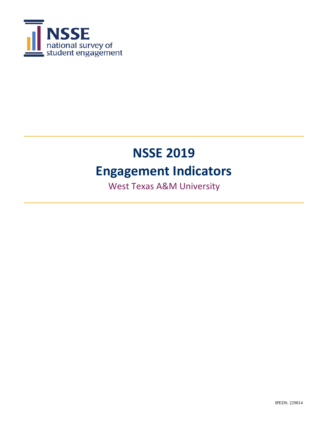

West Texas A&M University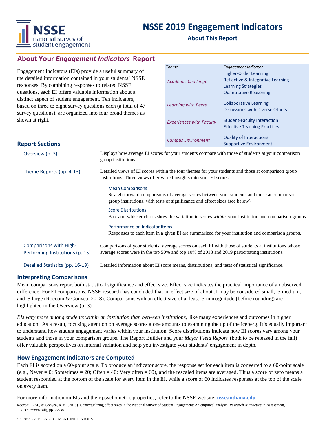

**Report Sections** 

## **About Your** *Engagement Indicators* **Report**

Engagement Indicators (EIs) provide a useful summary of the detailed information contained in your students' NSSE responses. By combining responses to related NSSE questions, each EI offers valuable information about a distinct aspect of student engagement. Ten indicators, based on three to eight survey questions each (a total of 47 survey questions), are organized into four broad themes as shown at right.

| <b>Theme</b>                    | Engagement Indicator                                            |
|---------------------------------|-----------------------------------------------------------------|
|                                 | <b>Higher-Order Learning</b>                                    |
| Academic Challenge              | Reflective & Integrative Learning<br><b>Learning Strategies</b> |
|                                 |                                                                 |
|                                 | <b>Quantitative Reasoning</b>                                   |
| <b>Learning with Peers</b>      | <b>Collaborative Learning</b>                                   |
|                                 | Discussions with Diverse Others                                 |
|                                 |                                                                 |
| <b>Experiences with Faculty</b> | <b>Student-Faculty Interaction</b>                              |
|                                 | <b>Effective Teaching Practices</b>                             |
|                                 | <b>Quality of Interactions</b>                                  |
| <b>Campus Environment</b>       |                                                                 |
|                                 | <b>Supportive Environment</b>                                   |

| Overview (p. 3)                                           | Displays how average EI scores for your students compare with those of students at your comparison<br>group institutions.                                                                              |
|-----------------------------------------------------------|--------------------------------------------------------------------------------------------------------------------------------------------------------------------------------------------------------|
| Theme Reports (pp. 4-13)                                  | Detailed views of EI scores within the four themes for your students and those at comparison group<br>institutions. Three views offer varied insights into your EI scores:                             |
|                                                           | <b>Mean Comparisons</b><br>Straightforward comparisons of average scores between your students and those at comparison<br>group institutions, with tests of significance and effect sizes (see below). |
|                                                           | <b>Score Distributions</b><br>Box-and-whisker charts show the variation in scores <i>within</i> your institution and comparison groups                                                                 |
|                                                           | Performance on Indicator Items<br>Responses to each item in a given EI are summarized for your institution and comparison groups.                                                                      |
| Comparisons with High-<br>Performing Institutions (p. 15) | Comparisons of your students' average scores on each EI with those of students at institutions whose<br>average scores were in the top 50% and top 10% of 2018 and 2019 participating institutions.    |
| Detailed Statistics (pp. 16-19)                           | Detailed information about EI score means, distributions, and tests of statistical significance.                                                                                                       |

#### **Interpreting Comparisons**

Mean comparisons report both statistical significance and effect size. Effect size indicates the practical importance of an observed difference. For EI comparisons, NSSE research has concluded that an effect size of about .1 may be considered small, .3 medium, and .5 large (Rocconi & Gonyea, 2018). Comparisons with an effect size of at least .3 in magnitude (before rounding) are highlighted in the Overview (p. 3).

*EIs vary more among students within an institution than between institutions,* like many experiences and outcomes in higher education. As a result, focusing attention on average scores alone amounts to examining the tip of the iceberg. It's equally important to understand how student engagement varies within your institution. Score distributions indicate how EI scores vary among your students and those in your comparison groups. The Report Builder and your *Major Field Report* (both to be released in the fall) offer valuable perspectives on internal variation and help you investigate your students' engagement in depth.

#### **How Engagement Indicators are Computed**

Each EI is scored on a 60-point scale. To produce an indicator score, the response set for each item is converted to a 60-point scale (e.g., Never  $= 0$ ; Sometimes  $= 20$ ; Often  $= 40$ ; Very often  $= 60$ ), and the rescaled items are averaged. Thus a score of zero means a student responded at the bottom of the scale for every item in the EI, while a score of 60 indicates responses at the top of the scale on every item.

For more information on EIs and their psychometric properties, refer to the NSSE website: **nsse.indiana.edu**

Rocconi, L.M., & Gonyea, R.M. (2018). Contextualizing effect sizes in the National Survey of Student Engagement: An empirical analysis. *Research & Practice in Assessment, 13* (Summer/Fall), pp. 22-38.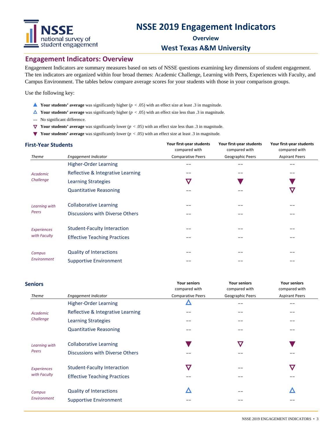

**Overview**

### **West Texas A&M University**

## **Engagement Indicators: Overview**

Engagement Indicators are summary measures based on sets of NSSE questions examining key dimensions of student engagement. The ten indicators are organized within four broad themes: Academic Challenge, Learning with Peers, Experiences with Faculty, and Campus Environment. The tables below compare average scores for your students with those in your comparison groups.

Use the following key:

- ▲ **Your students' average** was significantly higher (*p* < .05) with an effect size at least .3 in magnitude.
- $\triangle$  **Your students' average** was significantly higher ( $p < .05$ ) with an effect size less than .3 in magnitude.
- -- No significant difference.
- **V** Your students' average was significantly lower ( $p < .05$ ) with an effect size less than .3 in magnitude.
- ▼ **Your students' average** was significantly lower (*p* < .05) with an effect size at least .3 in magnitude.

| <b>First-Year Students</b> |                                     | Your first-year students<br>compared with | Your first-year students<br>compared with | Your first-year students<br>compared with |
|----------------------------|-------------------------------------|-------------------------------------------|-------------------------------------------|-------------------------------------------|
| <b>Theme</b>               | Engagement Indicator                | <b>Comparative Peers</b>                  | Geographic Peers                          | <b>Aspirant Peers</b>                     |
|                            | Higher-Order Learning               | $=$ $-$                                   | $= -$                                     | $- -$                                     |
| Academic                   | Reflective & Integrative Learning   | $= -$                                     | --                                        | $- -$                                     |
| Challenge                  | <b>Learning Strategies</b>          | $\bm{\nabla}$                             |                                           |                                           |
|                            | <b>Quantitative Reasoning</b>       | --                                        | --                                        | V                                         |
| Learning with              | <b>Collaborative Learning</b>       | $= -$                                     | $= -$                                     | $- -$                                     |
| Peers                      | Discussions with Diverse Others     | --                                        | --                                        | $= -$                                     |
| Experiences                | <b>Student-Faculty Interaction</b>  | $= -$                                     | $= -$                                     | $= -$                                     |
| with Faculty               | <b>Effective Teaching Practices</b> | --                                        | --                                        | $- -$                                     |
| Campus                     | <b>Quality of Interactions</b>      | $= -$                                     | $= -$                                     | $- -$                                     |
| Environment                | <b>Supportive Environment</b>       |                                           | --                                        |                                           |

| <b>Seniors</b>     |                                     | <b>Your seniors</b><br>compared with | <b>Your seniors</b><br>compared with | <b>Your seniors</b><br>compared with |
|--------------------|-------------------------------------|--------------------------------------|--------------------------------------|--------------------------------------|
| <b>Theme</b>       | Engagement Indicator                | <b>Comparative Peers</b>             | Geographic Peers                     | <b>Aspirant Peers</b>                |
|                    | Higher-Order Learning               |                                      | $= -$                                | --                                   |
| Academic           | Reflective & Integrative Learning   | $=$ $-$                              | $- -$                                | --                                   |
| Challenge          | <b>Learning Strategies</b>          | $= -$                                | $= -$                                | --                                   |
|                    | <b>Quantitative Reasoning</b>       | $- -$                                | $= -$                                | --                                   |
| Learning with      | <b>Collaborative Learning</b>       |                                      | $\bm{\nabla}$                        |                                      |
| Peers              | Discussions with Diverse Others     |                                      | $=$ $-$                              |                                      |
| <b>Experiences</b> | <b>Student-Faculty Interaction</b>  | $\bm{\nabla}$                        | $= -$                                | $\bm{\nabla}$                        |
| with Faculty       | <b>Effective Teaching Practices</b> | --                                   | $- -$                                | --                                   |
| Campus             | <b>Quality of Interactions</b>      |                                      | $= -$                                |                                      |
| Environment        | <b>Supportive Environment</b>       | --                                   | $= -$                                | --                                   |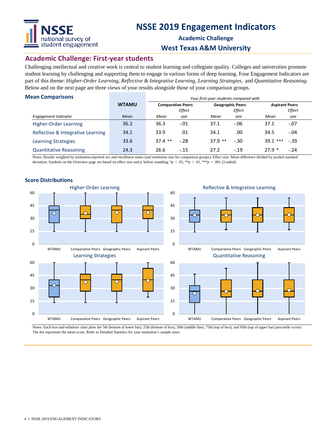

**Academic Challenge**

## **West Texas A&M University**

## **Academic Challenge: First-year students**

Challenging intellectual and creative work is central to student learning and collegiate quality. Colleges and universities promote student learning by challenging and supporting them to engage in various forms of deep learning. Four Engagement Indicators are part of this theme: *Higher-Order Learning, Reflective & Integrative Learning, Learning Strategies,* and *Quantitative Reasoning.*  Below and on the next page are three views of your results alongside those of your comparison groups.

| <b>Mean Comparisons</b>           |              | Your first-year students compared with |        |                                   |        |                       |        |  |
|-----------------------------------|--------------|----------------------------------------|--------|-----------------------------------|--------|-----------------------|--------|--|
|                                   | <b>WTAMU</b> | <b>Comparative Peers</b><br>Effect     |        | <b>Geographic Peers</b><br>Effect |        | <b>Aspirant Peers</b> | Effect |  |
| <b>Engagement Indicator</b>       | Mean         | Mean                                   | size   | Mean                              | size   | Mean                  | size   |  |
| <b>Higher-Order Learning</b>      | 36.2         | 36.3                                   | $-.01$ | 37.1                              | $-.06$ | 37.1                  | $-.07$ |  |
| Reflective & Integrative Learning | 34.1         | 33.9                                   | .01    | 34.1                              | .00    | 34.5                  | $-.04$ |  |
| Learning Strategies               | 33.6         | $37.4$ **                              | $-.28$ | $37.9$ **                         | $-.30$ | $39.1***$             | $-.39$ |  |
| <b>Quantitative Reasoning</b>     | 24.3         | 26.6                                   | $-.15$ | 27.2                              | $-.19$ | $27.9*$               | $-.24$ |  |

Notes: Results weighted by institution-reported sex and enrollment status (and institution size for comparison groups); Effect size: Mean difference divided by pooled standard deviation; Symbols on the Overview page are based on effect size and *p* before rounding; \**p* < .05, \*\**p* < .01, \*\**p* < .001 (2-tailed).



Notes: Each box-and-whiskers chart plots the 5th (bottom of lower bar), 25th (bottom of box), 50th (middle line), 75th (top of box), and 95th (top of upper bar) percentile scores. The dot represents the mean score. Refer to Detailed Statistics for your institution's sample sizes.

### **Score Distributions**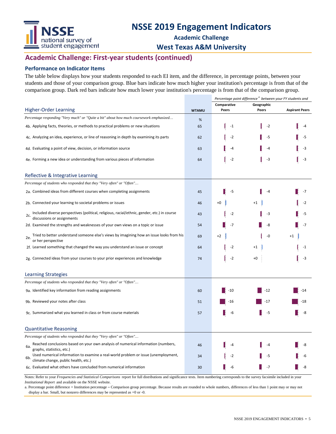

**Academic Challenge**

**West Texas A&M University**

## **Academic Challenge: First-year students (continued)**

#### **Performance on Indicator Items**

The table below displays how your students responded to each EI item, and the difference, in percentage points, between your students and those of your comparison group. Blue bars indicate how much higher your institution's percentage is from that of the comparison group. Dark red bars indicate how much lower your institution's percentage is from that of the comparison group.

|                                                                                                                                   |              |                      | Percentage point difference <sup>a</sup> between your FY students and |                       |
|-----------------------------------------------------------------------------------------------------------------------------------|--------------|----------------------|-----------------------------------------------------------------------|-----------------------|
| <b>Higher-Order Learning</b>                                                                                                      | <b>WTAMU</b> | Comparative<br>Peers | Geographic<br>Peers                                                   | <b>Aspirant Peers</b> |
| Percentage responding "Very much" or "Quite a bit" about how much coursework emphasized                                           |              |                      |                                                                       |                       |
| 4b. Applying facts, theories, or methods to practical problems or new situations                                                  | %<br>65      | $-1$                 | $-2$                                                                  |                       |
| 4c. Analyzing an idea, experience, or line of reasoning in depth by examining its parts                                           | 62           | $-2$                 | -5                                                                    |                       |
| 4d. Evaluating a point of view, decision, or information source                                                                   | 63           |                      |                                                                       |                       |
| 4e. Forming a new idea or understanding from various pieces of information                                                        | 64           | $-2$                 | -3                                                                    | -3                    |
| Reflective & Integrative Learning                                                                                                 |              |                      |                                                                       |                       |
| Percentage of students who responded that they "Very often" or "Often"                                                            |              |                      |                                                                       |                       |
| 2a. Combined ideas from different courses when completing assignments                                                             | 45           | -5                   |                                                                       |                       |
| 2b. Connected your learning to societal problems or issues                                                                        | 46           | $+0$                 | $+1$                                                                  | -2                    |
| Included diverse perspectives (political, religious, racial/ethnic, gender, etc.) in course<br>2c.<br>discussions or assignments  | 43           | $-2$                 | -3                                                                    |                       |
| 2d. Examined the strengths and weaknesses of your own views on a topic or issue                                                   | 54           | $-7$                 | -8                                                                    | $-7$                  |
| Tried to better understand someone else's views by imagining how an issue looks from his<br>2e.<br>or her perspective             | 69           | $+2$                 | -0                                                                    | $+1$                  |
| 2f. Learned something that changed the way you understand an issue or concept                                                     | 64           | $-2$                 | $+1$                                                                  | $-1$                  |
| 2g. Connected ideas from your courses to your prior experiences and knowledge                                                     | 74           | $-2$                 | $+0$                                                                  | -3                    |
| <b>Learning Strategies</b>                                                                                                        |              |                      |                                                                       |                       |
| Percentage of students who responded that they "Very often" or "Often"                                                            |              |                      |                                                                       |                       |
| 9a. Identified key information from reading assignments                                                                           | 60           | $-10$                | -12                                                                   | -14                   |
| 9b. Reviewed your notes after class                                                                                               | 51           | -16                  | -17                                                                   | -18                   |
| 9c. Summarized what you learned in class or from course materials                                                                 | 57           | -6                   | $-5$                                                                  | -8                    |
| <b>Quantitative Reasoning</b>                                                                                                     |              |                      |                                                                       |                       |
| Percentage of students who responded that they "Very often" or "Often"                                                            |              |                      |                                                                       |                       |
| Reached conclusions based on your own analysis of numerical information (numbers,<br>6a.<br>graphs, statistics, etc.)             | 46           |                      |                                                                       |                       |
| Used numerical information to examine a real-world problem or issue (unemployment,<br>6b.<br>climate change, public health, etc.) | 34           | -2                   |                                                                       |                       |
| 6c. Evaluated what others have concluded from numerical information                                                               | 30           | -6                   | $-7$                                                                  | -8                    |

Notes: Refer to your *Frequencies and Statistical Comparisons* report for full distributions and significance tests. Item numbering corresponds to the survey facsimile included in your *Institutional Report* and available on the NSSE website.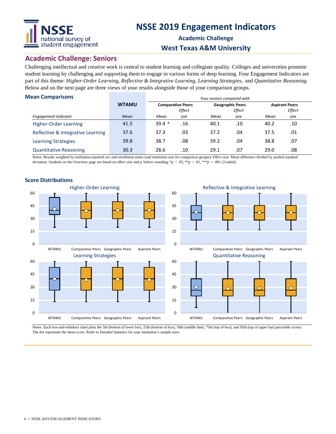

**Academic Challenge**

### **West Texas A&M University**

## **Academic Challenge: Seniors**

Challenging intellectual and creative work is central to student learning and collegiate quality. Colleges and universities promote student learning by challenging and supporting them to engage in various forms of deep learning. Four Engagement Indicators are part of this theme: *Higher-Order Learning, Reflective & Integrative Learning, Learning Strategies,* and *Quantitative Reasoning.*  Below and on the next page are three views of your results alongside those of your comparison groups.

| <b>Mean Comparisons</b>           |              | Your seniors compared with         |      |                                   |      |      |                                 |  |  |
|-----------------------------------|--------------|------------------------------------|------|-----------------------------------|------|------|---------------------------------|--|--|
|                                   | <b>WTAMU</b> | <b>Comparative Peers</b><br>Effect |      | <b>Geographic Peers</b><br>Effect |      |      | <b>Aspirant Peers</b><br>Effect |  |  |
| Engagement Indicator              | Mean         | Mean                               | size | Mean                              | size | Mean | size                            |  |  |
| Higher-Order Learning             | 41.5         | $39.4*$                            | .16  | 40.1                              | .10  | 40.2 | .10                             |  |  |
| Reflective & Integrative Learning | 37.6         | 37.3                               | .03  | 37.2                              | .04  | 37.5 | .01                             |  |  |
| <b>Learning Strategies</b>        | 39.8         | 38.7                               | .08  | 39.2                              | .04  | 38.8 | .07                             |  |  |
| <b>Quantitative Reasoning</b>     | 30.3         | 28.6                               | .10  | 29.1                              | .07  | 29.0 | .08                             |  |  |

Notes: Results weighted by institution-reported sex and enrollment status (and institution size for comparison groups); Effect size: Mean difference divided by pooled standard deviation; Symbols on the Overview page are based on effect size and *p* before rounding; \**p* < .05, \*\**p* < .01, \*\**p* < .001 (2-tailed).



Notes: Each box-and-whiskers chart plots the 5th (bottom of lower bar), 25th (bottom of box), 50th (middle line), 75th (top of box), and 95th (top of upper bar) percentile scores. The dot represents the mean score. Refer to Detailed Statistics for your institution's sample sizes.

#### **Score Distributions**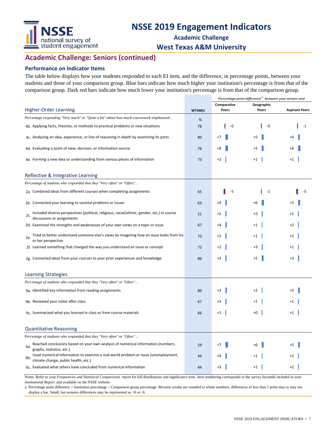

**Academic Challenge**

**West Texas A&M University**

## **Academic Challenge: Seniors (continued)**

#### **Performance on Indicator Items**

The table below displays how your students responded to each EI item, and the difference, in percentage points, between your students and those of your comparison group. Blue bars indicate how much higher your institution's percentage is from that of the comparison group. Dark red bars indicate how much lower your institution's percentage is from that of the comparison group.

|                                                                                                                                   |              | Percentage point difference <sup>a</sup> between your seniors and |                     |                       |
|-----------------------------------------------------------------------------------------------------------------------------------|--------------|-------------------------------------------------------------------|---------------------|-----------------------|
| <b>Higher-Order Learning</b>                                                                                                      | <b>WTAMU</b> | Comparative<br>Peers                                              | Geographic<br>Peers | <b>Aspirant Peers</b> |
| Percentage responding "Very much" or "Quite a bit" about how much coursework emphasized                                           | %            |                                                                   |                     |                       |
| 4b. Applying facts, theories, or methods to practical problems or new situations                                                  | 78           | -0                                                                | -0                  | $-1$                  |
| 4c. Analyzing an idea, experience, or line of reasoning in depth by examining its parts                                           | 80           | +7                                                                | $+5$                | +4                    |
| 4d. Evaluating a point of view, decision, or information source                                                                   | 76           | +8                                                                | $+5$                |                       |
| 4e. Forming a new idea or understanding from various pieces of information                                                        | 73           | +2                                                                | $+1$                | $+1$                  |
| Reflective & Integrative Learning                                                                                                 |              |                                                                   |                     |                       |
| Percentage of students who responded that they "Very often" or "Often"                                                            |              |                                                                   |                     |                       |
| 2a. Combined ideas from different courses when completing assignments                                                             | 65           | -5                                                                | $-1$                |                       |
| 2b. Connected your learning to societal problems or issues                                                                        | 63           | +4                                                                | +6                  | $+5$                  |
| Included diverse perspectives (political, religious, racial/ethnic, gender, etc.) in course<br>2c.<br>discussions or assignments  | 51           | +2                                                                | $+3$                | $+1$                  |
| 2d. Examined the strengths and weaknesses of your own views on a topic or issue                                                   | 67           | +4                                                                | $+1$                | $+2$                  |
| Tried to better understand someone else's views by imagining how an issue looks from his<br>2e.<br>or her perspective             | 73           | +2                                                                | $+1$                | $+2$                  |
| 2f. Learned something that changed the way you understand an issue or concept                                                     | 72           | +2                                                                | $+3$                | $+1$                  |
| 2g. Connected ideas from your courses to your prior experiences and knowledge                                                     | 86           | +3                                                                | $+5$                | +3                    |
| Learning Strategies                                                                                                               |              |                                                                   |                     |                       |
| Percentage of students who responded that they "Very often" or "Often"                                                            |              |                                                                   |                     |                       |
| 9a. Identified key information from reading assignments                                                                           | 80           | +3                                                                | $+2$                |                       |
| 9b. Reviewed your notes after class                                                                                               | 67           | +3                                                                | $+1$                |                       |
| 9c. Summarized what you learned in class or from course materials                                                                 | 66           | +1                                                                | $+0$                | $+1$                  |
| <b>Quantitative Reasoning</b>                                                                                                     |              |                                                                   |                     |                       |
| Percentage of students who responded that they "Very often" or "Often"                                                            |              |                                                                   |                     |                       |
| Reached conclusions based on your own analysis of numerical information (numbers,<br>6а.<br>graphs, statistics, etc.)             | 59           | +7                                                                | +6                  |                       |
| Used numerical information to examine a real-world problem or issue (unemployment,<br>6b.<br>climate change, public health, etc.) | 44           | +4                                                                | $+1$                | +2                    |
| 6c. Evaluated what others have concluded from numerical information                                                               | 44           | +3                                                                | $+1$                | $+2$                  |

Notes: Refer to your *Frequencies and Statistical Comparisons* report for full distributions and significance tests. Item numbering corresponds to the survey facsimile included in your *Institutional Report* and available on the NSSE website.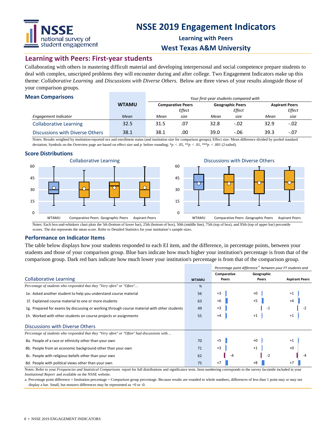

**Learning with Peers**

## **West Texas A&M University**

## **Learning with Peers: First-year students**

Collaborating with others in mastering difficult material and developing interpersonal and social competence prepare students to deal with complex, unscripted problems they will encounter during and after college. Two Engagement Indicators make up this theme: *Collaborative Learning* and *Discussions with Diverse Others.* Below are three views of your results alongside those of your comparison groups.

#### **Mean Comparisons**

| ICAII CUIIIDAI ISUIIS           |              | Your first-year students compared with |        |                         |        |                       |               |  |  |
|---------------------------------|--------------|----------------------------------------|--------|-------------------------|--------|-----------------------|---------------|--|--|
|                                 | <b>WTAMU</b> | <b>Comparative Peers</b>               |        | <b>Geographic Peers</b> |        | <b>Aspirant Peers</b> |               |  |  |
|                                 |              |                                        | Effect |                         | Effect |                       | <b>Effect</b> |  |  |
| Engagement Indicator            | Mean         | Mean                                   | size   | Mean                    | size   | Mean                  | size          |  |  |
| <b>Collaborative Learning</b>   | 32.5         | 31.5                                   | .07    | 32.8                    | $-.02$ | 32.9                  | $-.02$        |  |  |
| Discussions with Diverse Others | 38.1         | 38.1                                   | .00    | 39.0                    | -.06   | 39.3                  | $-.07$        |  |  |

Notes: Results weighted by institution-reported sex and enrollment status (and institution size for comparison groups); Effect size: Mean difference divided by pooled standard deviation; Symbols on the Overview page are based on effect size and *p* before rounding; \**p* < .05, \*\**p* < .01, \*\*\**p* < .001 (2-tailed).

#### **Score Distributions**



Notes: Each box-and-whiskers chart plots the 5th (bottom of lower bar), 25th (bottom of box), 50th (middle line), 75th (top of box), and 95th (top of upper bar) percentile scores. The dot represents the mean score. Refer to Detailed Statistics for your institution's sample sizes.

#### **Performance on Indicator Items**

The table below displays how your students responded to each EI item, and the difference, in percentage points, between your students and those of your comparison group. Blue bars indicate how much higher your institution's percentage is from that of the comparison group. Dark red bars indicate how much lower your institution's percentage is from that of the comparison group.

|                                                                                                                                                       |              | Percentage point difference <sup>a</sup> between your FY students and |            |                       |  |
|-------------------------------------------------------------------------------------------------------------------------------------------------------|--------------|-----------------------------------------------------------------------|------------|-----------------------|--|
|                                                                                                                                                       |              | Comparative                                                           | Geographic |                       |  |
| Collaborative Learning                                                                                                                                | <b>WTAMU</b> | Peers                                                                 | Peers      | <b>Aspirant Peers</b> |  |
| Percentage of students who responded that they "Very often" or "Often"                                                                                | %            |                                                                       |            |                       |  |
| 1e. Asked another student to help you understand course material                                                                                      | 56           | $+3$                                                                  | $+0$       | $+1$                  |  |
| 1f. Explained course material to one or more students                                                                                                 | 63           | $+6$                                                                  | $+5$       | $+4$                  |  |
| 1g. Prepared for exams by discussing or working through course material with other students                                                           | 49           | $+3$                                                                  | -1         |                       |  |
| 1h. Worked with other students on course projects or assignments                                                                                      | 55           | $+4$                                                                  | $+1$       | $+1$                  |  |
| Discussions with Diverse Others                                                                                                                       |              |                                                                       |            |                       |  |
| Percentage of students who responded that they "Very often" or "Often" had discussions with                                                           |              |                                                                       |            |                       |  |
| 8a. People of a race or ethnicity other than your own                                                                                                 | 70           | $+5$                                                                  | $+0$       | $+1$                  |  |
| 8b. People from an economic background other than your own                                                                                            | 71           | $+3$                                                                  | $+1$       | $+0$                  |  |
| 8c. People with religious beliefs other than your own                                                                                                 | 62           | -4                                                                    | $-2$       |                       |  |
| 8d. People with political views other than your own                                                                                                   | 75           | $+7$                                                                  | $+8$       | $+7$                  |  |
| Matan Dafarta wasa Canadan and Chububad Canadahan mga fall distribution and sisaifing ang data mughasing namang ta tha sumay fandudig ingludad in yaw |              |                                                                       |            |                       |  |

*Forms* report for full distributions and significance tests. Item numbering corresponds to the survey facsimile included in your *Institutional Report* and available on the NSSE website.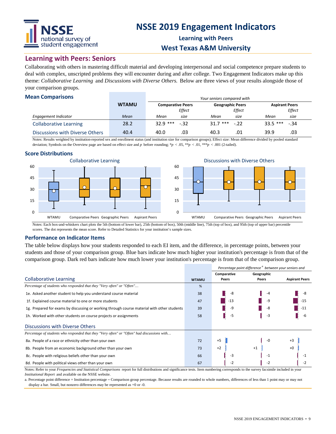

**Learning with Peers**

## **West Texas A&M University**

### **Learning with Peers: Seniors**

Collaborating with others in mastering difficult material and developing interpersonal and social competence prepare students to deal with complex, unscripted problems they will encounter during and after college. Two Engagement Indicators make up this theme: *Collaborative Learning* and *Discussions with Diverse Others.* Below are three views of your results alongside those of your comparison groups.

#### **Mean Comparisons**

| lean Comparisons                |                                          | Your seniors compared with |                         |                       |  |  |  |  |
|---------------------------------|------------------------------------------|----------------------------|-------------------------|-----------------------|--|--|--|--|
|                                 | <b>WTAMU</b><br><b>Comparative Peers</b> |                            | <b>Geographic Peers</b> | <b>Aspirant Peers</b> |  |  |  |  |
|                                 |                                          | Effect                     | Effect                  | Effect                |  |  |  |  |
| Engagement Indicator            | Mean                                     | size<br>Mean               | size<br>Mean            | size<br>Mean          |  |  |  |  |
| <b>Collaborative Learning</b>   | 28.2                                     | $32.9***$<br>$-32$         | $31.7***$<br>$-.22$     | $33.5$ ***<br>$-34$   |  |  |  |  |
| Discussions with Diverse Others | 40.4                                     | 40.0<br>.03                | 40.3<br>.01             | 39.9<br>.03           |  |  |  |  |

Notes: Results weighted by institution-reported sex and enrollment status (and institution size for comparison groups); Effect size: Mean difference divided by pooled standard deviation; Symbols on the Overview page are based on effect size and *p* before rounding; \**p* < .05, \*\**p* < .01, \*\*\**p* < .001 (2-tailed).

#### **Score Distributions**



Notes: Each box-and-whiskers chart plots the 5th (bottom of lower bar), 25th (bottom of box), 50th (middle line), 75th (top of box), and 95th (top of upper bar) percentile scores. The dot represents the mean score. Refer to Detailed Statistics for your institution's sample sizes.

#### **Performance on Indicator Items**

The table below displays how your students responded to each EI item, and the difference, in percentage points, between your students and those of your comparison group. Blue bars indicate how much higher your institution's percentage is from that of the comparison group. Dark red bars indicate how much lower your institution's percentage is from that of the comparison group.

|                                                                                                                                                                                       |              | Percentage point difference <sup>a</sup> between your seniors and |                     |                       |  |
|---------------------------------------------------------------------------------------------------------------------------------------------------------------------------------------|--------------|-------------------------------------------------------------------|---------------------|-----------------------|--|
| <b>Collaborative Learning</b>                                                                                                                                                         | <b>WTAMU</b> | Comparative<br>Peers                                              | Geographic<br>Peers | <b>Aspirant Peers</b> |  |
| Percentage of students who responded that they "Very often" or "Often"                                                                                                                | %            |                                                                   |                     |                       |  |
| 1e. Asked another student to help you understand course material                                                                                                                      | 38           | -8                                                                | -4                  |                       |  |
| 1f. Explained course material to one or more students                                                                                                                                 | 47           | $-13$                                                             | -9                  | $-15$                 |  |
| 1g. Prepared for exams by discussing or working through course material with other students                                                                                           | 39           |                                                                   | -8                  | $-11$                 |  |
| 1h. Worked with other students on course projects or assignments                                                                                                                      | 58           | -5                                                                | -3                  |                       |  |
| Discussions with Diverse Others                                                                                                                                                       |              |                                                                   |                     |                       |  |
| Percentage of students who responded that they "Very often" or "Often" had discussions with                                                                                           |              |                                                                   |                     |                       |  |
| 8a. People of a race or ethnicity other than your own                                                                                                                                 | 72           | $+5$                                                              | $-0$                | $+3$                  |  |
| 8b. People from an economic background other than your own                                                                                                                            | 73           | $+2$                                                              | $+1$                | $+0$                  |  |
| 8c. People with religious beliefs other than your own                                                                                                                                 | 66           | -3                                                                | -1                  |                       |  |
| 8d. People with political views other than your own                                                                                                                                   | 67           | $-2$                                                              | $-2$                | $-2$                  |  |
| Notes: Refer to your Fragmenias and Statistical Comparisons report for full distributions and giorificance toots. Itom numbering corresponds to the survey fossimile included in your |              |                                                                   |                     |                       |  |

*Forms* report for full distributions and significance tests. Item numbering corresponds to the survey facsimile included in your *Institutional Report* and available on the NSSE website.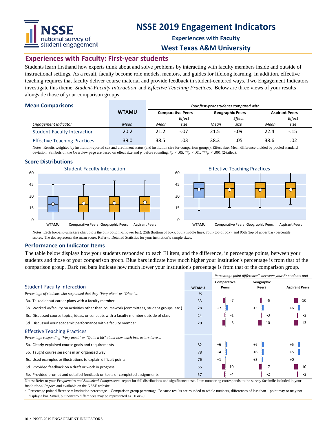

**Experiences with Faculty**

### **West Texas A&M University**

## **Experiences with Faculty: First-year students**

Students learn firsthand how experts think about and solve problems by interacting with faculty members inside and outside of instructional settings. As a result, faculty become role models, mentors, and guides for lifelong learning. In addition, effective teaching requires that faculty deliver course material and provide feedback in student-centered ways. Two Engagement Indicators investigate this theme: *Student-Faculty Interaction* and *Effective Teaching Practices.* Below are three views of your results alongside those of your comparison groups.

| <b>Mean Comparisons</b>             |              |      |                          |      | Your first-year students compared with |      |                       |
|-------------------------------------|--------------|------|--------------------------|------|----------------------------------------|------|-----------------------|
|                                     | <b>WTAMU</b> |      | <b>Comparative Peers</b> |      | <b>Geographic Peers</b>                |      | <b>Aspirant Peers</b> |
|                                     |              |      | Effect                   |      | Effect                                 |      | Effect                |
| Engagement Indicator                | Mean         | Mean | size                     | Mean | size                                   | Mean | size                  |
| <b>Student-Faculty Interaction</b>  | 20.2         | 21.2 | $-.07$                   | 21.5 | $-.09$                                 | 22.4 | $-.15$                |
| <b>Effective Teaching Practices</b> | 39.0         | 38.5 | .03                      | 38.3 | .05                                    | 38.6 | .02                   |

Notes: Results weighted by institution-reported sex and enrollment status (and institution size for comparison groups); Effect size: Mean difference divided by pooled standard deviation; Symbols on the Overview page are based on effect size and *p* before rounding; \**p* < .05, \*\**p* < .01, \*\*\**p* < .001 (2-tailed).

#### **Score Distributions**



Notes: Each box-and-whiskers chart plots the 5th (bottom of lower bar), 25th (bottom of box), 50th (middle line), 75th (top of box), and 95th (top of upper bar) percentile scores. The dot represents the mean score. Refer to Detailed Statistics for your institution's sample sizes.

#### **Performance on Indicator Items**

The table below displays how your students responded to each EI item, and the difference, in percentage points, between your students and those of your comparison group. Blue bars indicate how much higher your institution's percentage is from that of the comparison group. Dark red bars indicate how much lower your institution's percentage is from that of the comparison group.

|                                                                                             |              |             | Percentage point difference <sup>a</sup> between your FY students and |            |      |                       |
|---------------------------------------------------------------------------------------------|--------------|-------------|-----------------------------------------------------------------------|------------|------|-----------------------|
|                                                                                             |              | Comparative |                                                                       | Geographic |      |                       |
| <b>Student-Faculty Interaction</b>                                                          | <b>WTAMU</b> | Peers       | Peers                                                                 |            |      | <b>Aspirant Peers</b> |
| Percentage of students who responded that they "Very often" or "Often"                      | %            |             |                                                                       |            |      |                       |
| 3a. Talked about career plans with a faculty member                                         | 33           |             | $-7$                                                                  | $-5$       |      | $-10$                 |
| 3b. Worked w/faculty on activities other than coursework (committees, student groups, etc.) | 28           | $+7$        | $+5$                                                                  |            | $+6$ |                       |
| 3c. Discussed course topics, ideas, or concepts with a faculty member outside of class      | 24           |             | -1                                                                    | $-3$       |      |                       |
| 3d. Discussed your academic performance with a faculty member                               | 20           |             | -8                                                                    | $-10$      |      | $-13$                 |
| <b>Effective Teaching Practices</b>                                                         |              |             |                                                                       |            |      |                       |
| Percentage responding "Very much" or "Quite a bit" about how much instructors have          |              |             |                                                                       |            |      |                       |
| 5a. Clearly explained course goals and requirements                                         | 82           | $+6$        | $+6$                                                                  |            | $+5$ |                       |
| 5b. Taught course sessions in an organized way                                              | 78           | $+4$        | $+6$                                                                  |            | $+5$ |                       |
| 5c. Used examples or illustrations to explain difficult points                              | 76           | $+1$        | $+3$                                                                  |            | $+0$ |                       |
| 5d. Provided feedback on a draft or work in progress                                        | 55           |             | $-10$                                                                 | $-7$       |      | $-10$                 |
| 5e. Provided prompt and detailed feedback on tests or completed assignments                 | 57           |             | -4                                                                    | $-2$       |      | -2                    |

Notes: Refer to your *Frequencies and Statistical Comparisons* report for full distributions and significance tests. Item numbering corresponds to the survey facsimile included in your *Institutional Report* and available on the NSSE website.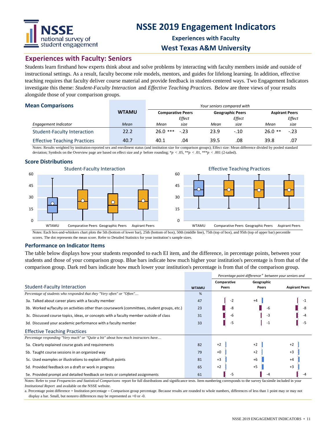

**Experiences with Faculty**

## **West Texas A&M University**

## **Experiences with Faculty: Seniors**

Students learn firsthand how experts think about and solve problems by interacting with faculty members inside and outside of instructional settings. As a result, faculty become role models, mentors, and guides for lifelong learning. In addition, effective teaching requires that faculty deliver course material and provide feedback in student-centered ways. Two Engagement Indicators investigate this theme: *Student-Faculty Interaction* and *Effective Teaching Practices.* Below are three views of your results alongside those of your comparison groups.

## **Mean Comparisons**

| lean Comparisons                    |              | Your seniors compared with |                         |                       |  |  |  |  |  |  |  |  |
|-------------------------------------|--------------|----------------------------|-------------------------|-----------------------|--|--|--|--|--|--|--|--|
|                                     | <b>WTAMU</b> | <b>Comparative Peers</b>   | <b>Geographic Peers</b> | <b>Aspirant Peers</b> |  |  |  |  |  |  |  |  |
|                                     |              | Effect                     | Effect                  | Effect                |  |  |  |  |  |  |  |  |
| Engagement Indicator                | Mean         | Mean<br>size               | size<br>Mean            | size<br>Mean          |  |  |  |  |  |  |  |  |
| <b>Student-Faculty Interaction</b>  | 22.2         | $26.0$ ***<br>$-.23$       | 23.9<br>$-.10$          | $26.0$ **<br>$-.23$   |  |  |  |  |  |  |  |  |
| <b>Effective Teaching Practices</b> | 40.7         | 40.1<br>.04                | 39.5<br>.08             | 39.8<br>.07           |  |  |  |  |  |  |  |  |

Notes: Results weighted by institution-reported sex and enrollment status (and institution size for comparison groups); Effect size: Mean difference divided by pooled standard deviation; Symbols on the Overview page are based on effect size and *p* before rounding; \**p* < .05, \*\**p* < .01, \*\*\**p* < .001 (2-tailed).

#### **Score Distributions**



Notes: Each box-and-whiskers chart plots the 5th (bottom of lower bar), 25th (bottom of box), 50th (middle line), 75th (top of box), and 95th (top of upper bar) percentile scores. The dot represents the mean score. Refer to Detailed Statistics for your institution's sample sizes.

#### **Performance on Indicator Items**

The table below displays how your students responded to each EI item, and the difference, in percentage points, between your students and those of your comparison group. Blue bars indicate how much higher your institution's percentage is from that of the comparison group. Dark red bars indicate how much lower your institution's percentage is from that of the comparison group.

|                                                                                             |              |             | Percentage point difference <sup>a</sup> between your seniors and |    |                       |
|---------------------------------------------------------------------------------------------|--------------|-------------|-------------------------------------------------------------------|----|-----------------------|
|                                                                                             |              | Comparative | Geographic                                                        |    |                       |
| <b>Student-Faculty Interaction</b>                                                          | <b>WTAMU</b> | Peers       | Peers                                                             |    | <b>Aspirant Peers</b> |
| Percentage of students who responded that they "Very often" or "Often"                      | %            |             |                                                                   |    |                       |
| 3a. Talked about career plans with a faculty member                                         | 47           |             | $-2$<br>$+4$                                                      |    | -1                    |
| 3b. Worked w/faculty on activities other than coursework (committees, student groups, etc.) | 23           |             | -8                                                                | -6 |                       |
| 3c. Discussed course topics, ideas, or concepts with a faculty member outside of class      | 31           |             | -6                                                                | -3 |                       |
| 3d. Discussed your academic performance with a faculty member                               | 33           |             | -5                                                                | -1 |                       |
| <b>Effective Teaching Practices</b>                                                         |              |             |                                                                   |    |                       |
| Percentage responding "Very much" or "Quite a bit" about how much instructors have          |              |             |                                                                   |    |                       |
| 5a. Clearly explained course goals and requirements                                         | 82           | $+2$        | $+2$                                                              |    | $+2$                  |
| 5b. Taught course sessions in an organized way                                              | 79           | $+0$        | $+2$                                                              |    | $+3$                  |
| 5c. Used examples or illustrations to explain difficult points                              | 81           | $+3$        | $+6$                                                              |    | $+4$                  |
| 5d. Provided feedback on a draft or work in progress                                        | 65           | $+2$        | $+5$                                                              |    | $+3$                  |
| 5e. Provided prompt and detailed feedback on tests or completed assignments                 | 61           |             | -5                                                                |    |                       |

Notes: Refer to your *Frequencies and Statistical Comparisons* report for full distributions and significance tests. Item numbering corresponds to the survey facsimile included in your *Institutional Report* and available on the NSSE website.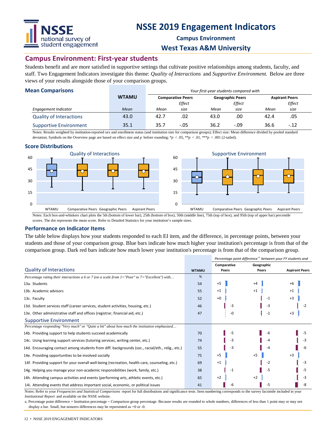

**Campus Environment**

### **West Texas A&M University**

## **Campus Environment: First-year students**

Students benefit and are more satisfied in supportive settings that cultivate positive relationships among students, faculty, and staff. Two Engagement Indicators investigate this theme: *Quality of Interactions* and *Supportive Environment.* Below are three views of your results alongside those of your comparison groups.

| <b>Mean Comparisons</b>        |              |      |                          |      | Your first-year students compared with |      |                       |
|--------------------------------|--------------|------|--------------------------|------|----------------------------------------|------|-----------------------|
|                                | <b>WTAMU</b> |      | <b>Comparative Peers</b> |      | <b>Geographic Peers</b>                |      | <b>Aspirant Peers</b> |
|                                |              |      | Effect                   |      | Effect                                 |      | <b>Effect</b>         |
| Engagement Indicator           | Mean         | Mean | size                     | Mean | size                                   | Mean | size                  |
| <b>Quality of Interactions</b> | 43.0         | 42.7 | .02                      | 43.0 | .00                                    | 42.4 | .05                   |
| <b>Supportive Environment</b>  | 35.1         | 35.7 | $-.05$                   | 36.2 | $-.09$                                 | 36.6 | $-.12$                |

Notes: Results weighted by institution-reported sex and enrollment status (and institution size for comparison groups); Effect size: Mean difference divided by pooled standard deviation; Symbols on the Overview page are based on effect size and *p* before rounding; \**p* < .05, \*\**p* < .01, \*\*\**p* < .001 (2-tailed).

#### **Score Distributions**



Notes: Each box-and-whiskers chart plots the 5th (bottom of lower bar), 25th (bottom of box), 50th (middle line), 75th (top of box), and 95th (top of upper bar) percentile scores. The dot represents the mean score. Refer to Detailed Statistics for your institution's sample sizes.

#### **Performance on Indicator Items**

The table below displays how your students responded to each EI item, and the difference, in percentage points, between your students and those of your comparison group. Blue bars indicate how much higher your institution's percentage is from that of the comparison group. Dark red bars indicate how much lower your institution's percentage is from that of the comparison group.

|                                                                                                                                                                                      |              | Percentage point difference <sup>a</sup> between your FY students and |    |      |            |      |                       |  |
|--------------------------------------------------------------------------------------------------------------------------------------------------------------------------------------|--------------|-----------------------------------------------------------------------|----|------|------------|------|-----------------------|--|
|                                                                                                                                                                                      |              | Comparative                                                           |    |      | Geographic |      |                       |  |
| <b>Quality of Interactions</b>                                                                                                                                                       | <b>WTAMU</b> | Peers                                                                 |    |      | Peers      |      | <b>Aspirant Peers</b> |  |
| Percentage rating their interactions a 6 or 7 (on a scale from $1 = "Poor"$ to $7 = "Excell"$ ) with                                                                                 | %            |                                                                       |    |      |            |      |                       |  |
| 13a. Students                                                                                                                                                                        | 54           | $+5$                                                                  |    | $+4$ |            | $+6$ |                       |  |
| 13b. Academic advisors                                                                                                                                                               | 55           | $+1$                                                                  |    | $+1$ |            | $+1$ |                       |  |
| 13c. Faculty                                                                                                                                                                         | 52           | $+0$                                                                  |    |      | -1         | $+3$ |                       |  |
| 13d. Student services staff (career services, student activities, housing, etc.)                                                                                                     | 46           |                                                                       | -3 |      | -3         |      | -2                    |  |
| 13e. Other administrative staff and offices (registrar, financial aid, etc.)                                                                                                         | 47           |                                                                       | -0 |      | $-1$       | $+3$ |                       |  |
| <b>Supportive Environment</b>                                                                                                                                                        |              |                                                                       |    |      |            |      |                       |  |
| Percentage responding "Very much" or "Quite a bit" about how much the institution emphasized                                                                                         |              |                                                                       |    |      |            |      |                       |  |
| 14b. Providing support to help students succeed academically                                                                                                                         | 70           |                                                                       | -5 |      | -6         |      |                       |  |
| 14c. Using learning support services (tutoring services, writing center, etc.)                                                                                                       | 74           |                                                                       | -3 |      |            |      |                       |  |
| 14d. Encouraging contact among students from diff. backgrounds (soc., racial/eth., relig., etc.)                                                                                     | 55           |                                                                       | -3 |      |            |      |                       |  |
| 14e. Providing opportunities to be involved socially                                                                                                                                 | 75           | $+5$                                                                  |    | $+5$ |            | $+3$ |                       |  |
| 14f. Providing support for your overall well-being (recreation, health care, counseling, etc.)                                                                                       | 69           | $+1$                                                                  |    |      | -2         |      | -3                    |  |
| 14g. Helping you manage your non-academic responsibilities (work, family, etc.)                                                                                                      | 38           |                                                                       | -1 |      | -5         |      |                       |  |
| 14h. Attending campus activities and events (performing arts, athletic events, etc.)                                                                                                 | 65           | $+2$                                                                  |    | $+2$ |            |      | -3                    |  |
| 14. Attending events that address important social, economic, or political issues                                                                                                    | 41           |                                                                       |    |      |            |      | -8                    |  |
| Notes: Refer to your Executives and Statistical Companions report for full distributions and significance toots. Item numbering corresponds to the survey feesimile included in your |              |                                                                       |    |      |            |      |                       |  |

and significance tests. Item numbering corresponds to the survey facsi *Institutional Report* and available on the NSSE website.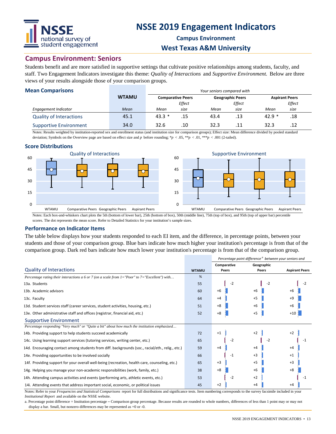

**Campus Environment**

## **West Texas A&M University**

## **Campus Environment: Seniors**

Students benefit and are more satisfied in supportive settings that cultivate positive relationships among students, faculty, and staff. Two Engagement Indicators investigate this theme: *Quality of Interactions* and *Supportive Environment.* Below are three views of your results alongside those of your comparison groups.

| <b>Mean Comparisons</b>        |              |                                    |      | Your seniors compared with |                                   |         |                                 |
|--------------------------------|--------------|------------------------------------|------|----------------------------|-----------------------------------|---------|---------------------------------|
|                                | <b>WTAMU</b> | <b>Comparative Peers</b><br>Effect |      |                            | <b>Geographic Peers</b><br>Effect |         | <b>Aspirant Peers</b><br>Effect |
| Engagement Indicator           | Mean         | Mean                               | size | Mean                       | size                              | Mean    | size                            |
| <b>Quality of Interactions</b> | 45.1         | $43.3*$                            | .15  | 43.4                       | .13                               | $42.9*$ | .18                             |
| <b>Supportive Environment</b>  | 34.0         | 32.6                               | .10  | 32.3                       | .11                               | 32.3    | .12                             |

Notes: Results weighted by institution-reported sex and enrollment status (and institution size for comparison groups); Effect size: Mean difference divided by pooled standard deviation; Symbols on the Overview page are based on effect size and *p* before rounding; \**p* < .05, \*\**p* < .01, \*\*\**p* < .001 (2-tailed).

#### **Score Distributions**



Notes: Each box-and-whiskers chart plots the 5th (bottom of lower bar), 25th (bottom of box), 50th (middle line), 75th (top of box), and 95th (top of upper bar) percentile scores. The dot represents the mean score. Refer to Detailed Statistics for your institution's sample sizes.

#### **Performance on Indicator Items**

The table below displays how your students responded to each EI item, and the difference, in percentage points, between your students and those of your comparison group. Blue bars indicate how much higher your institution's percentage is from that of the comparison group. Dark red bars indicate how much lower your institution's percentage is from that of the comparison group.

|                                                                                                                                                                                     |              | Percentage point difference <sup>a</sup> between your seniors and |              |            |                       |  |  |  |
|-------------------------------------------------------------------------------------------------------------------------------------------------------------------------------------|--------------|-------------------------------------------------------------------|--------------|------------|-----------------------|--|--|--|
|                                                                                                                                                                                     |              | Comparative                                                       |              | Geographic |                       |  |  |  |
| <b>Quality of Interactions</b>                                                                                                                                                      | <b>WTAMU</b> | Peers                                                             |              | Peers      | <b>Aspirant Peers</b> |  |  |  |
| Percentage rating their interactions a 6 or 7 (on a scale from $1 = "Poor"$ to $7 = "Excell"$ ) with                                                                                | %            |                                                                   |              |            |                       |  |  |  |
| 13a. Students                                                                                                                                                                       | 55           |                                                                   | $-2$         | $-2$       |                       |  |  |  |
| 13b. Academic advisors                                                                                                                                                              | 60           | $+6$                                                              | $+6$         |            | $+6$                  |  |  |  |
| 13c. Faculty                                                                                                                                                                        | 64           | $+4$                                                              | $+5$         |            | $+9$                  |  |  |  |
| 13d. Student services staff (career services, student activities, housing, etc.)                                                                                                    | 51           | $+8$                                                              | $+6$         |            | $+6$                  |  |  |  |
| 13e. Other administrative staff and offices (registrar, financial aid, etc.)                                                                                                        | 52           | $+8$                                                              | $+5$         |            | $+10$                 |  |  |  |
| <b>Supportive Environment</b>                                                                                                                                                       |              |                                                                   |              |            |                       |  |  |  |
| Percentage responding "Very much" or "Quite a bit" about how much the institution emphasized                                                                                        |              |                                                                   |              |            |                       |  |  |  |
| 14b. Providing support to help students succeed academically                                                                                                                        | 72           | $+1$                                                              | $+2$         |            | $+2$                  |  |  |  |
| 14c. Using learning support services (tutoring services, writing center, etc.)                                                                                                      | 65           |                                                                   | $-2$         | $-2$       |                       |  |  |  |
| 14d. Encouraging contact among students from diff. backgrounds (soc., racial/eth., relig., etc.)                                                                                    | 59           | $+4$                                                              | $+4$         |            | $+4$                  |  |  |  |
| 14e. Providing opportunities to be involved socially                                                                                                                                | 66           |                                                                   | $+3$<br>$-1$ |            | $+1$                  |  |  |  |
| 14f. Providing support for your overall well-being (recreation, health care, counseling, etc.)                                                                                      | 65           | $+3$                                                              | $+5$         |            | $+3$                  |  |  |  |
| 14g. Helping you manage your non-academic responsibilities (work, family, etc.)                                                                                                     | 38           | $+8$                                                              | $+6$         |            | $+8$                  |  |  |  |
| 14h. Attending campus activities and events (performing arts, athletic events, etc.)                                                                                                | 53           |                                                                   | $-2$<br>$+2$ |            |                       |  |  |  |
| 14. Attending events that address important social, economic, or political issues                                                                                                   | 45           | $+2$                                                              | $+4$         |            | $+4$                  |  |  |  |
| Materia Defende view Englished in J. Children Occupantical Constant for full distributions and similar proper transposition a compared to the symmetry featurity instructed in view |              |                                                                   |              |            |                       |  |  |  |

 $ns$  report for full distributions and significance tests. Item numbering corresponds to the survey facsi *Institutional Report* and available on the NSSE website.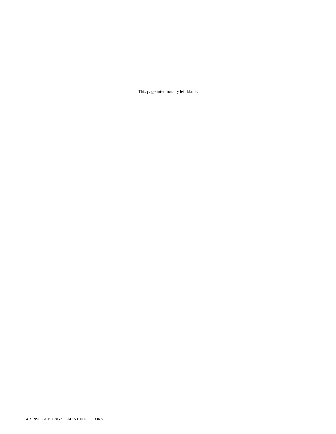This page intentionally left blank.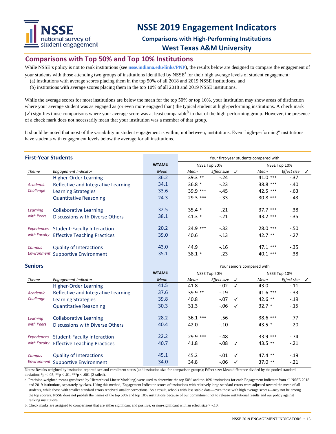

## **West Texas A&M University Comparisons with High-Performing Institutions**

## **Comparisons with Top 50% and Top 10% Institutions**

While NSSE's policy is not to rank institutions (see **nsse.indiana.edu/links/PNP**), the results below are designed to compare the engagement of

your students with those attending two groups of institutions identified by NSSE<sup>a</sup> for their high average levels of student engagement:

- (a) institutions with average scores placing them in the top 50% of all 2018 and 2019 NSSE institutions, and
- (b) institutions with average scores placing them in the top 10% of all 2018 and 2019 NSSE institutions.

While the average scores for most institutions are below the mean for the top 50% or top 10%, your institution may show areas of distinction where your average student was as engaged as (or even more engaged than) the typical student at high-performing institutions. A check mark  $(\checkmark)$  signifies those comparisons where your average score was at least comparable<sup>b</sup> to that of the high-performing group. However, the presence of a check mark does not necessarily mean that your institution was a member of that group.

It should be noted that most of the variability in student engagement is within, not between, institutions. Even "high-performing" institutions have students with engagement levels below the average for all institutions.

|                 | <b>First-Year Students</b>          |              |           | Your first-year students compared with |            |                             |
|-----------------|-------------------------------------|--------------|-----------|----------------------------------------|------------|-----------------------------|
|                 |                                     | <b>WTAMU</b> |           | NSSE Top 50%                           |            | NSSE Top 10%                |
| <b>Theme</b>    | Engagement Indicator                | Mean         | Mean      | Effect size<br>$\checkmark$            | Mean       | Effect size<br>$\checkmark$ |
|                 | Higher-Order Learning               | 36.2         | $39.3$ ** | $-.24$                                 | $41.0***$  | $-.37$                      |
| <b>Academic</b> | Reflective and Integrative Learning | 34.1         | $36.8*$   | $-.23$                                 | 38.8 ***   | $-.40$                      |
| Challenge       | Learning Strategies                 | 33.6         | $39.9***$ | $-.45$                                 | 42.5 ***   | $-.63$                      |
|                 | <b>Quantitative Reasoning</b>       | 24.3         | $29.3***$ | $-.33$                                 | $30.8$ *** | $-.43$                      |
| Learning        | Collaborative Learning              | 32.5         | $35.4*$   | $-.21$                                 | $37.7***$  | $-.38$                      |
| with Peers      | Discussions with Diverse Others     | 38.1         | $41.3*$   | $-.21$                                 | $43.2***$  | $-.35$                      |
| Experiences     | <b>Student-Faculty Interaction</b>  | 20.2         | $24.9***$ | $-.32$                                 | $28.0***$  | $-.50$                      |
| with Faculty    | <b>Effective Teaching Practices</b> | 39.0         | 40.6      | $-.13$                                 | $42.7$ **  | $-.27$                      |
| Campus          | <b>Quality of Interactions</b>      | 43.0         | 44.9      | $-.16$                                 | $47.1***$  | $-.35$                      |
| Environment     | <b>Supportive Environment</b>       | 35.1         | $38.1*$   | $-.23$                                 | $40.1***$  | $-.38$                      |

| <b>Seniors</b>  |                                     |              |           |                         |              | Your seniors compared with |             |   |
|-----------------|-------------------------------------|--------------|-----------|-------------------------|--------------|----------------------------|-------------|---|
|                 |                                     | <b>WTAMU</b> |           | NSSE Top 50%            |              | NSSE Top 10%               |             |   |
| Theme           | Engagement Indicator                | Mean         | Mean      | Effect size             | $\checkmark$ | Mean                       | Effect size | ✓ |
|                 | Higher-Order Learning               | 41.5         | 41.8      | $-.02$                  | $\checkmark$ | 43.0                       | $-.11$      |   |
| <b>Academic</b> | Reflective and Integrative Learning | 37.6         | $39.9**$  | $-.19$                  |              | $41.6***$                  | $-.33$      |   |
| Challenge       | <b>Learning Strategies</b>          | 39.8         | 40.8      | $-.07$                  | $\checkmark$ | $42.6$ **                  | $-.19$      |   |
|                 | <b>Quantitative Reasoning</b>       | 30.3         | 31.3      | $-0.06$                 |              | $32.7*$                    | $-.15$      |   |
| Learning        | <b>Collaborative Learning</b>       | 28.2         | $36.1***$ | $-56$                   |              | $38.6***$                  | $-.77$      |   |
| with Peers      | Discussions with Diverse Others     | 40.4         | 42.0      | $-.10$                  |              | $43.5*$                    | $-.20$      |   |
| Experiences     | <b>Student-Faculty Interaction</b>  | 22.2         | $29.9***$ | $-.48$                  |              | $33.9***$                  | $-.74$      |   |
| with Faculty    | <b>Effective Teaching Practices</b> | 40.7         | 41.8      | $-0.08$                 | $\checkmark$ | $43.5$ **                  | $-.21$      |   |
| Campus          | <b>Quality of Interactions</b>      | 45.1         | 45.2      | $-.01 \quad \checkmark$ |              | $47.4$ **                  | $-.19$      |   |
| Environment     | <b>Supportive Environment</b>       | 34.0         | 34.8      | $-0.06$                 |              | $37.0$ **                  | $-.21$      |   |

Notes: Results weighted by institution-reported sex and enrollment status (and institution size for comparison groups); Effect size: Mean difference divided by the pooled standard deviation;  ${}^*p < .05$ ,  ${}^{**}p < .01$ ,  ${}^{***}p < .001$  (2-tailed).

a. Precision-weighted means (produced by Hierarchical Linear Modeling) were used to determine the top 50% and top 10% institutions for each Engagement Indicator from all NSSE 2018 and 2019 institutions, separately by class. Using this method, Engagement Indicator scores of institutions with relatively large standard errors were adjusted toward the mean of all students, while those with smaller standard errors received smaller corrections. As a result, schools with less stable data—even those with high average scores—may not be among the top scorers. NSSE does not publish the names of the top 50% and top 10% institutions because of our commitment not to release institutional results and our policy against ranking institutions.

b. Check marks are assigned to comparisons that are either significant and positive, or non-significant with an effect size > -.10.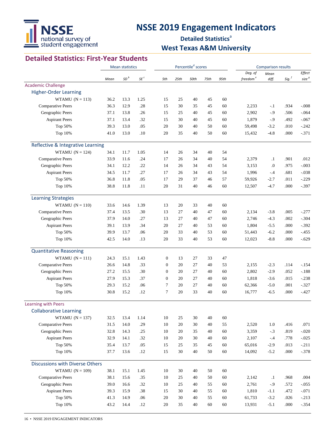

**West Texas A&M University Detailed Statistics<sup>a</sup>** 

## **Detailed Statistics: First-Year Students**

| Effect<br>Deg. of<br>Mean<br>SD <sup>b</sup><br>SE <sup>c</sup><br>Sig. $f$<br>freedom <sup>e</sup><br>size <sup>g</sup><br>diff.<br>5th<br>25th<br>50th<br>75th<br>95th<br>Mean<br><b>Academic Challenge</b><br><b>Higher-Order Learning</b><br>WTAMU $(N = 113)$<br>13.3<br>1.25<br>15<br>25<br>40<br>45<br>60<br>36.2<br><b>Comparative Peers</b><br>12.9<br>.28<br>30<br>45<br>60<br>2,233<br>.934<br>$-.008$<br>36.3<br>15<br>35<br>$-1$<br>Geographic Peers<br>45<br>$-064$<br>37.1<br>13.8<br>.26<br>15<br>25<br>40<br>60<br>2,902<br>-.9<br>.506<br>.32<br>45<br>1,879<br>$-9$<br>$-.067$<br><b>Aspirant Peers</b><br>37.1<br>13.4<br>15<br>30<br>40<br>60<br>.492<br>Top 50%<br>.05<br>$-.242$<br>39.3<br>13.0<br>20<br>30<br>40<br>50<br>60<br>59,498<br>$-3.2$<br>.010<br>Top 10%<br>$-.371$<br>13.0<br>.10<br>35<br>40<br>50<br>60<br>$-4.8$<br>41.0<br>20<br>15,432<br>.000<br>Reflective & Integrative Learning<br>WTAMU $(N = 124)$<br>11.7<br>1.05<br>40<br>54<br>34.1<br>14<br>26<br>34<br><b>Comparative Peers</b><br>54<br>.012<br>33.9<br>11.6<br>.24<br>17<br>34<br>40<br>2,379<br>.901<br>26<br>$\cdot$ 1<br>Geographic Peers<br>.22<br>54<br>$-.003$<br>12.2<br>34<br>43<br>3,153<br>$\cdot$<br>.975<br>34.1<br>14<br>26<br>.27<br>$-.038$<br><b>Aspirant Peers</b><br>11.7<br>17<br>34<br>43<br>54<br>1,996<br>$-.4$<br>.681<br>34.5<br>26<br>$-.229$<br>Top 50%<br>11.8<br>.05<br>17<br>29<br>37<br>46<br>57<br>59,926<br>$-2.7$<br>36.8<br>.011<br>40<br>$-.397$<br>Top 10%<br>38.8<br>11.8<br>.11<br>20<br>31<br>46<br>60<br>12,507<br>$-4.7$<br>.000<br><b>Learning Strategies</b><br>WTAMU $(N = 110)$<br>1.39<br>60<br>33.6<br>14.6<br>13<br>20<br>33<br>40<br><b>Comparative Peers</b><br>13.5<br>.30<br>40<br>47<br>60<br>2,134<br>$-3.8$<br>$-.277$<br>37.4<br>13<br>27<br>.005<br>$-.304$<br>Geographic Peers<br>37.9<br>14.0<br>.27<br>27<br>40<br>47<br>60<br>2,746<br>$-4.3$<br>.002<br>13<br>$-.392$<br><b>Aspirant Peers</b><br>13.9<br>.34<br>20<br>27<br>40<br>53<br>60<br>1,804<br>$-5.5$<br>.000<br>39.1<br>$-455$<br>Top 50%<br>13.7<br>20<br>33<br>40<br>53<br>60<br>$-6.2$<br>39.9<br>.06<br>51,443<br>.000<br>$-.629$<br>Top 10%<br>14.0<br>.13<br>33<br>40<br>53<br>60<br>$-8.8$<br>42.5<br>20<br>12,023<br>.000<br><b>Quantitative Reasoning</b><br>WTAMU $(N = 111)$<br>15.1<br>$\mathbf{0}$<br>33<br>47<br>24.3<br>1.43<br>13<br>27<br><b>Comparative Peers</b><br>14.8<br>.33<br>$\mathbf{0}$<br>20<br>27<br>40<br>53<br>2,155<br>$-2.3$<br>$-.154$<br>26.6<br>.114<br>$-.188$<br>Geographic Peers<br>27.2<br>15.5<br>.30<br>$\boldsymbol{0}$<br>20<br>27<br>40<br>60<br>2,802<br>$-2.9$<br>.052<br>$-.238$<br><b>Aspirant Peers</b><br>27.9<br>15.3<br>.37<br>$\mathbf{0}$<br>27<br>60<br>1,818<br>$-3.6$<br>20<br>40<br>.015<br>$\tau$<br>$-.327$<br>Top 50%<br>15.2<br>27<br>40<br>60<br>62,366<br>29.3<br>.06<br>20<br>$-5.0$<br>.001<br>$\tau$<br>$-.427$<br>Top 10%<br>30.8<br>15.2<br>.12<br>20<br>33<br>40<br>60<br>16,777<br>$-6.5$<br>.000<br>Learning with Peers<br><b>Collaborative Learning</b><br>WTAMU $(N = 137)$<br>10<br>30<br>40<br>60<br>32.5<br>13.4<br>1.14<br>25<br><b>Comparative Peers</b><br>55<br>.071<br>31.5<br>14.0<br>.29<br>10<br>20<br>30<br>40<br>2,520<br>1.0<br>.416<br>$-.020$<br>Geographic Peers<br>32.8<br>14.3<br>.25<br>10<br>20<br>35<br>40<br>60<br>3,359<br>$-.3$<br>.819<br><b>Aspirant Peers</b><br>.32<br>$-.025$<br>32.9<br>14.1<br>10<br>20<br>30<br>40<br>60<br>2,107<br>.778<br>$-.4$<br>Top 50%<br>.05<br>60<br>$-.211$<br>35.4<br>13.7<br>15<br>35<br>45<br>65,016<br>$-2.9$<br>.013<br>25<br>Top 10%<br>60<br>$-.378$<br>37.7<br>13.6<br>.12<br>15<br>30<br>40<br>50<br>14,092<br>$-5.2$<br>.000<br>Discussions with Diverse Others<br>WTAMU $(N = 109)$<br>38.1<br>15.1<br>1.45<br>10<br>30<br>40<br>50<br>60<br><b>Comparative Peers</b><br>60<br>.968<br>.004<br>38.1<br>15.6<br>.35<br>10<br>25<br>40<br>50<br>2,142<br>$\cdot$ 1<br>Geographic Peers<br>.32<br>$-.055$<br>39.0<br>16.6<br>10<br>55<br>60<br>2,761<br>$-9$<br>.572<br>25<br>40<br>.38<br>$-.071$<br><b>Aspirant Peers</b><br>30<br>55<br>60<br>1,810<br>$-1.1$<br>.472<br>39.3<br>15.9<br>15<br>40<br>Top 50%<br>.06<br>$-.213$<br>41.3<br>14.9<br>20<br>30<br>40<br>55<br>60<br>61,733<br>$-3.2$<br>.026<br>Top 10%<br>$-5.1$<br>$-.354$<br>43.2<br>14.4<br>.12<br>20<br>35<br>40<br>60<br>60<br>13,931<br>.000 |  | <b>Mean statistics</b> |  | Percentile <sup>d</sup> scores |  | <b>Comparison results</b> |  |  |  |
|-------------------------------------------------------------------------------------------------------------------------------------------------------------------------------------------------------------------------------------------------------------------------------------------------------------------------------------------------------------------------------------------------------------------------------------------------------------------------------------------------------------------------------------------------------------------------------------------------------------------------------------------------------------------------------------------------------------------------------------------------------------------------------------------------------------------------------------------------------------------------------------------------------------------------------------------------------------------------------------------------------------------------------------------------------------------------------------------------------------------------------------------------------------------------------------------------------------------------------------------------------------------------------------------------------------------------------------------------------------------------------------------------------------------------------------------------------------------------------------------------------------------------------------------------------------------------------------------------------------------------------------------------------------------------------------------------------------------------------------------------------------------------------------------------------------------------------------------------------------------------------------------------------------------------------------------------------------------------------------------------------------------------------------------------------------------------------------------------------------------------------------------------------------------------------------------------------------------------------------------------------------------------------------------------------------------------------------------------------------------------------------------------------------------------------------------------------------------------------------------------------------------------------------------------------------------------------------------------------------------------------------------------------------------------------------------------------------------------------------------------------------------------------------------------------------------------------------------------------------------------------------------------------------------------------------------------------------------------------------------------------------------------------------------------------------------------------------------------------------------------------------------------------------------------------------------------------------------------------------------------------------------------------------------------------------------------------------------------------------------------------------------------------------------------------------------------------------------------------------------------------------------------------------------------------------------------------------------------------------------------------------------------------------------------------------------------------------------------------------------------------------------------------------------------------------------------------------------------------------------------------------------------------------------------------------------------------------------------------------------------------------------------------------------------------------------------------------------------------------------------------------------------------------------------------------------------------------------------------------------------------------------------------------------------------------------------------------------------------------------------------------------------|--|------------------------|--|--------------------------------|--|---------------------------|--|--|--|
|                                                                                                                                                                                                                                                                                                                                                                                                                                                                                                                                                                                                                                                                                                                                                                                                                                                                                                                                                                                                                                                                                                                                                                                                                                                                                                                                                                                                                                                                                                                                                                                                                                                                                                                                                                                                                                                                                                                                                                                                                                                                                                                                                                                                                                                                                                                                                                                                                                                                                                                                                                                                                                                                                                                                                                                                                                                                                                                                                                                                                                                                                                                                                                                                                                                                                                                                                                                                                                                                                                                                                                                                                                                                                                                                                                                                                                                                                                                                                                                                                                                                                                                                                                                                                                                                                                                                                                                                 |  |                        |  |                                |  |                           |  |  |  |
|                                                                                                                                                                                                                                                                                                                                                                                                                                                                                                                                                                                                                                                                                                                                                                                                                                                                                                                                                                                                                                                                                                                                                                                                                                                                                                                                                                                                                                                                                                                                                                                                                                                                                                                                                                                                                                                                                                                                                                                                                                                                                                                                                                                                                                                                                                                                                                                                                                                                                                                                                                                                                                                                                                                                                                                                                                                                                                                                                                                                                                                                                                                                                                                                                                                                                                                                                                                                                                                                                                                                                                                                                                                                                                                                                                                                                                                                                                                                                                                                                                                                                                                                                                                                                                                                                                                                                                                                 |  |                        |  |                                |  |                           |  |  |  |
|                                                                                                                                                                                                                                                                                                                                                                                                                                                                                                                                                                                                                                                                                                                                                                                                                                                                                                                                                                                                                                                                                                                                                                                                                                                                                                                                                                                                                                                                                                                                                                                                                                                                                                                                                                                                                                                                                                                                                                                                                                                                                                                                                                                                                                                                                                                                                                                                                                                                                                                                                                                                                                                                                                                                                                                                                                                                                                                                                                                                                                                                                                                                                                                                                                                                                                                                                                                                                                                                                                                                                                                                                                                                                                                                                                                                                                                                                                                                                                                                                                                                                                                                                                                                                                                                                                                                                                                                 |  |                        |  |                                |  |                           |  |  |  |
|                                                                                                                                                                                                                                                                                                                                                                                                                                                                                                                                                                                                                                                                                                                                                                                                                                                                                                                                                                                                                                                                                                                                                                                                                                                                                                                                                                                                                                                                                                                                                                                                                                                                                                                                                                                                                                                                                                                                                                                                                                                                                                                                                                                                                                                                                                                                                                                                                                                                                                                                                                                                                                                                                                                                                                                                                                                                                                                                                                                                                                                                                                                                                                                                                                                                                                                                                                                                                                                                                                                                                                                                                                                                                                                                                                                                                                                                                                                                                                                                                                                                                                                                                                                                                                                                                                                                                                                                 |  |                        |  |                                |  |                           |  |  |  |
|                                                                                                                                                                                                                                                                                                                                                                                                                                                                                                                                                                                                                                                                                                                                                                                                                                                                                                                                                                                                                                                                                                                                                                                                                                                                                                                                                                                                                                                                                                                                                                                                                                                                                                                                                                                                                                                                                                                                                                                                                                                                                                                                                                                                                                                                                                                                                                                                                                                                                                                                                                                                                                                                                                                                                                                                                                                                                                                                                                                                                                                                                                                                                                                                                                                                                                                                                                                                                                                                                                                                                                                                                                                                                                                                                                                                                                                                                                                                                                                                                                                                                                                                                                                                                                                                                                                                                                                                 |  |                        |  |                                |  |                           |  |  |  |
|                                                                                                                                                                                                                                                                                                                                                                                                                                                                                                                                                                                                                                                                                                                                                                                                                                                                                                                                                                                                                                                                                                                                                                                                                                                                                                                                                                                                                                                                                                                                                                                                                                                                                                                                                                                                                                                                                                                                                                                                                                                                                                                                                                                                                                                                                                                                                                                                                                                                                                                                                                                                                                                                                                                                                                                                                                                                                                                                                                                                                                                                                                                                                                                                                                                                                                                                                                                                                                                                                                                                                                                                                                                                                                                                                                                                                                                                                                                                                                                                                                                                                                                                                                                                                                                                                                                                                                                                 |  |                        |  |                                |  |                           |  |  |  |
|                                                                                                                                                                                                                                                                                                                                                                                                                                                                                                                                                                                                                                                                                                                                                                                                                                                                                                                                                                                                                                                                                                                                                                                                                                                                                                                                                                                                                                                                                                                                                                                                                                                                                                                                                                                                                                                                                                                                                                                                                                                                                                                                                                                                                                                                                                                                                                                                                                                                                                                                                                                                                                                                                                                                                                                                                                                                                                                                                                                                                                                                                                                                                                                                                                                                                                                                                                                                                                                                                                                                                                                                                                                                                                                                                                                                                                                                                                                                                                                                                                                                                                                                                                                                                                                                                                                                                                                                 |  |                        |  |                                |  |                           |  |  |  |
|                                                                                                                                                                                                                                                                                                                                                                                                                                                                                                                                                                                                                                                                                                                                                                                                                                                                                                                                                                                                                                                                                                                                                                                                                                                                                                                                                                                                                                                                                                                                                                                                                                                                                                                                                                                                                                                                                                                                                                                                                                                                                                                                                                                                                                                                                                                                                                                                                                                                                                                                                                                                                                                                                                                                                                                                                                                                                                                                                                                                                                                                                                                                                                                                                                                                                                                                                                                                                                                                                                                                                                                                                                                                                                                                                                                                                                                                                                                                                                                                                                                                                                                                                                                                                                                                                                                                                                                                 |  |                        |  |                                |  |                           |  |  |  |
|                                                                                                                                                                                                                                                                                                                                                                                                                                                                                                                                                                                                                                                                                                                                                                                                                                                                                                                                                                                                                                                                                                                                                                                                                                                                                                                                                                                                                                                                                                                                                                                                                                                                                                                                                                                                                                                                                                                                                                                                                                                                                                                                                                                                                                                                                                                                                                                                                                                                                                                                                                                                                                                                                                                                                                                                                                                                                                                                                                                                                                                                                                                                                                                                                                                                                                                                                                                                                                                                                                                                                                                                                                                                                                                                                                                                                                                                                                                                                                                                                                                                                                                                                                                                                                                                                                                                                                                                 |  |                        |  |                                |  |                           |  |  |  |
|                                                                                                                                                                                                                                                                                                                                                                                                                                                                                                                                                                                                                                                                                                                                                                                                                                                                                                                                                                                                                                                                                                                                                                                                                                                                                                                                                                                                                                                                                                                                                                                                                                                                                                                                                                                                                                                                                                                                                                                                                                                                                                                                                                                                                                                                                                                                                                                                                                                                                                                                                                                                                                                                                                                                                                                                                                                                                                                                                                                                                                                                                                                                                                                                                                                                                                                                                                                                                                                                                                                                                                                                                                                                                                                                                                                                                                                                                                                                                                                                                                                                                                                                                                                                                                                                                                                                                                                                 |  |                        |  |                                |  |                           |  |  |  |
|                                                                                                                                                                                                                                                                                                                                                                                                                                                                                                                                                                                                                                                                                                                                                                                                                                                                                                                                                                                                                                                                                                                                                                                                                                                                                                                                                                                                                                                                                                                                                                                                                                                                                                                                                                                                                                                                                                                                                                                                                                                                                                                                                                                                                                                                                                                                                                                                                                                                                                                                                                                                                                                                                                                                                                                                                                                                                                                                                                                                                                                                                                                                                                                                                                                                                                                                                                                                                                                                                                                                                                                                                                                                                                                                                                                                                                                                                                                                                                                                                                                                                                                                                                                                                                                                                                                                                                                                 |  |                        |  |                                |  |                           |  |  |  |
|                                                                                                                                                                                                                                                                                                                                                                                                                                                                                                                                                                                                                                                                                                                                                                                                                                                                                                                                                                                                                                                                                                                                                                                                                                                                                                                                                                                                                                                                                                                                                                                                                                                                                                                                                                                                                                                                                                                                                                                                                                                                                                                                                                                                                                                                                                                                                                                                                                                                                                                                                                                                                                                                                                                                                                                                                                                                                                                                                                                                                                                                                                                                                                                                                                                                                                                                                                                                                                                                                                                                                                                                                                                                                                                                                                                                                                                                                                                                                                                                                                                                                                                                                                                                                                                                                                                                                                                                 |  |                        |  |                                |  |                           |  |  |  |
|                                                                                                                                                                                                                                                                                                                                                                                                                                                                                                                                                                                                                                                                                                                                                                                                                                                                                                                                                                                                                                                                                                                                                                                                                                                                                                                                                                                                                                                                                                                                                                                                                                                                                                                                                                                                                                                                                                                                                                                                                                                                                                                                                                                                                                                                                                                                                                                                                                                                                                                                                                                                                                                                                                                                                                                                                                                                                                                                                                                                                                                                                                                                                                                                                                                                                                                                                                                                                                                                                                                                                                                                                                                                                                                                                                                                                                                                                                                                                                                                                                                                                                                                                                                                                                                                                                                                                                                                 |  |                        |  |                                |  |                           |  |  |  |
|                                                                                                                                                                                                                                                                                                                                                                                                                                                                                                                                                                                                                                                                                                                                                                                                                                                                                                                                                                                                                                                                                                                                                                                                                                                                                                                                                                                                                                                                                                                                                                                                                                                                                                                                                                                                                                                                                                                                                                                                                                                                                                                                                                                                                                                                                                                                                                                                                                                                                                                                                                                                                                                                                                                                                                                                                                                                                                                                                                                                                                                                                                                                                                                                                                                                                                                                                                                                                                                                                                                                                                                                                                                                                                                                                                                                                                                                                                                                                                                                                                                                                                                                                                                                                                                                                                                                                                                                 |  |                        |  |                                |  |                           |  |  |  |
|                                                                                                                                                                                                                                                                                                                                                                                                                                                                                                                                                                                                                                                                                                                                                                                                                                                                                                                                                                                                                                                                                                                                                                                                                                                                                                                                                                                                                                                                                                                                                                                                                                                                                                                                                                                                                                                                                                                                                                                                                                                                                                                                                                                                                                                                                                                                                                                                                                                                                                                                                                                                                                                                                                                                                                                                                                                                                                                                                                                                                                                                                                                                                                                                                                                                                                                                                                                                                                                                                                                                                                                                                                                                                                                                                                                                                                                                                                                                                                                                                                                                                                                                                                                                                                                                                                                                                                                                 |  |                        |  |                                |  |                           |  |  |  |
|                                                                                                                                                                                                                                                                                                                                                                                                                                                                                                                                                                                                                                                                                                                                                                                                                                                                                                                                                                                                                                                                                                                                                                                                                                                                                                                                                                                                                                                                                                                                                                                                                                                                                                                                                                                                                                                                                                                                                                                                                                                                                                                                                                                                                                                                                                                                                                                                                                                                                                                                                                                                                                                                                                                                                                                                                                                                                                                                                                                                                                                                                                                                                                                                                                                                                                                                                                                                                                                                                                                                                                                                                                                                                                                                                                                                                                                                                                                                                                                                                                                                                                                                                                                                                                                                                                                                                                                                 |  |                        |  |                                |  |                           |  |  |  |
|                                                                                                                                                                                                                                                                                                                                                                                                                                                                                                                                                                                                                                                                                                                                                                                                                                                                                                                                                                                                                                                                                                                                                                                                                                                                                                                                                                                                                                                                                                                                                                                                                                                                                                                                                                                                                                                                                                                                                                                                                                                                                                                                                                                                                                                                                                                                                                                                                                                                                                                                                                                                                                                                                                                                                                                                                                                                                                                                                                                                                                                                                                                                                                                                                                                                                                                                                                                                                                                                                                                                                                                                                                                                                                                                                                                                                                                                                                                                                                                                                                                                                                                                                                                                                                                                                                                                                                                                 |  |                        |  |                                |  |                           |  |  |  |
|                                                                                                                                                                                                                                                                                                                                                                                                                                                                                                                                                                                                                                                                                                                                                                                                                                                                                                                                                                                                                                                                                                                                                                                                                                                                                                                                                                                                                                                                                                                                                                                                                                                                                                                                                                                                                                                                                                                                                                                                                                                                                                                                                                                                                                                                                                                                                                                                                                                                                                                                                                                                                                                                                                                                                                                                                                                                                                                                                                                                                                                                                                                                                                                                                                                                                                                                                                                                                                                                                                                                                                                                                                                                                                                                                                                                                                                                                                                                                                                                                                                                                                                                                                                                                                                                                                                                                                                                 |  |                        |  |                                |  |                           |  |  |  |
|                                                                                                                                                                                                                                                                                                                                                                                                                                                                                                                                                                                                                                                                                                                                                                                                                                                                                                                                                                                                                                                                                                                                                                                                                                                                                                                                                                                                                                                                                                                                                                                                                                                                                                                                                                                                                                                                                                                                                                                                                                                                                                                                                                                                                                                                                                                                                                                                                                                                                                                                                                                                                                                                                                                                                                                                                                                                                                                                                                                                                                                                                                                                                                                                                                                                                                                                                                                                                                                                                                                                                                                                                                                                                                                                                                                                                                                                                                                                                                                                                                                                                                                                                                                                                                                                                                                                                                                                 |  |                        |  |                                |  |                           |  |  |  |
|                                                                                                                                                                                                                                                                                                                                                                                                                                                                                                                                                                                                                                                                                                                                                                                                                                                                                                                                                                                                                                                                                                                                                                                                                                                                                                                                                                                                                                                                                                                                                                                                                                                                                                                                                                                                                                                                                                                                                                                                                                                                                                                                                                                                                                                                                                                                                                                                                                                                                                                                                                                                                                                                                                                                                                                                                                                                                                                                                                                                                                                                                                                                                                                                                                                                                                                                                                                                                                                                                                                                                                                                                                                                                                                                                                                                                                                                                                                                                                                                                                                                                                                                                                                                                                                                                                                                                                                                 |  |                        |  |                                |  |                           |  |  |  |
|                                                                                                                                                                                                                                                                                                                                                                                                                                                                                                                                                                                                                                                                                                                                                                                                                                                                                                                                                                                                                                                                                                                                                                                                                                                                                                                                                                                                                                                                                                                                                                                                                                                                                                                                                                                                                                                                                                                                                                                                                                                                                                                                                                                                                                                                                                                                                                                                                                                                                                                                                                                                                                                                                                                                                                                                                                                                                                                                                                                                                                                                                                                                                                                                                                                                                                                                                                                                                                                                                                                                                                                                                                                                                                                                                                                                                                                                                                                                                                                                                                                                                                                                                                                                                                                                                                                                                                                                 |  |                        |  |                                |  |                           |  |  |  |
|                                                                                                                                                                                                                                                                                                                                                                                                                                                                                                                                                                                                                                                                                                                                                                                                                                                                                                                                                                                                                                                                                                                                                                                                                                                                                                                                                                                                                                                                                                                                                                                                                                                                                                                                                                                                                                                                                                                                                                                                                                                                                                                                                                                                                                                                                                                                                                                                                                                                                                                                                                                                                                                                                                                                                                                                                                                                                                                                                                                                                                                                                                                                                                                                                                                                                                                                                                                                                                                                                                                                                                                                                                                                                                                                                                                                                                                                                                                                                                                                                                                                                                                                                                                                                                                                                                                                                                                                 |  |                        |  |                                |  |                           |  |  |  |
|                                                                                                                                                                                                                                                                                                                                                                                                                                                                                                                                                                                                                                                                                                                                                                                                                                                                                                                                                                                                                                                                                                                                                                                                                                                                                                                                                                                                                                                                                                                                                                                                                                                                                                                                                                                                                                                                                                                                                                                                                                                                                                                                                                                                                                                                                                                                                                                                                                                                                                                                                                                                                                                                                                                                                                                                                                                                                                                                                                                                                                                                                                                                                                                                                                                                                                                                                                                                                                                                                                                                                                                                                                                                                                                                                                                                                                                                                                                                                                                                                                                                                                                                                                                                                                                                                                                                                                                                 |  |                        |  |                                |  |                           |  |  |  |
|                                                                                                                                                                                                                                                                                                                                                                                                                                                                                                                                                                                                                                                                                                                                                                                                                                                                                                                                                                                                                                                                                                                                                                                                                                                                                                                                                                                                                                                                                                                                                                                                                                                                                                                                                                                                                                                                                                                                                                                                                                                                                                                                                                                                                                                                                                                                                                                                                                                                                                                                                                                                                                                                                                                                                                                                                                                                                                                                                                                                                                                                                                                                                                                                                                                                                                                                                                                                                                                                                                                                                                                                                                                                                                                                                                                                                                                                                                                                                                                                                                                                                                                                                                                                                                                                                                                                                                                                 |  |                        |  |                                |  |                           |  |  |  |
|                                                                                                                                                                                                                                                                                                                                                                                                                                                                                                                                                                                                                                                                                                                                                                                                                                                                                                                                                                                                                                                                                                                                                                                                                                                                                                                                                                                                                                                                                                                                                                                                                                                                                                                                                                                                                                                                                                                                                                                                                                                                                                                                                                                                                                                                                                                                                                                                                                                                                                                                                                                                                                                                                                                                                                                                                                                                                                                                                                                                                                                                                                                                                                                                                                                                                                                                                                                                                                                                                                                                                                                                                                                                                                                                                                                                                                                                                                                                                                                                                                                                                                                                                                                                                                                                                                                                                                                                 |  |                        |  |                                |  |                           |  |  |  |
|                                                                                                                                                                                                                                                                                                                                                                                                                                                                                                                                                                                                                                                                                                                                                                                                                                                                                                                                                                                                                                                                                                                                                                                                                                                                                                                                                                                                                                                                                                                                                                                                                                                                                                                                                                                                                                                                                                                                                                                                                                                                                                                                                                                                                                                                                                                                                                                                                                                                                                                                                                                                                                                                                                                                                                                                                                                                                                                                                                                                                                                                                                                                                                                                                                                                                                                                                                                                                                                                                                                                                                                                                                                                                                                                                                                                                                                                                                                                                                                                                                                                                                                                                                                                                                                                                                                                                                                                 |  |                        |  |                                |  |                           |  |  |  |
|                                                                                                                                                                                                                                                                                                                                                                                                                                                                                                                                                                                                                                                                                                                                                                                                                                                                                                                                                                                                                                                                                                                                                                                                                                                                                                                                                                                                                                                                                                                                                                                                                                                                                                                                                                                                                                                                                                                                                                                                                                                                                                                                                                                                                                                                                                                                                                                                                                                                                                                                                                                                                                                                                                                                                                                                                                                                                                                                                                                                                                                                                                                                                                                                                                                                                                                                                                                                                                                                                                                                                                                                                                                                                                                                                                                                                                                                                                                                                                                                                                                                                                                                                                                                                                                                                                                                                                                                 |  |                        |  |                                |  |                           |  |  |  |
|                                                                                                                                                                                                                                                                                                                                                                                                                                                                                                                                                                                                                                                                                                                                                                                                                                                                                                                                                                                                                                                                                                                                                                                                                                                                                                                                                                                                                                                                                                                                                                                                                                                                                                                                                                                                                                                                                                                                                                                                                                                                                                                                                                                                                                                                                                                                                                                                                                                                                                                                                                                                                                                                                                                                                                                                                                                                                                                                                                                                                                                                                                                                                                                                                                                                                                                                                                                                                                                                                                                                                                                                                                                                                                                                                                                                                                                                                                                                                                                                                                                                                                                                                                                                                                                                                                                                                                                                 |  |                        |  |                                |  |                           |  |  |  |
|                                                                                                                                                                                                                                                                                                                                                                                                                                                                                                                                                                                                                                                                                                                                                                                                                                                                                                                                                                                                                                                                                                                                                                                                                                                                                                                                                                                                                                                                                                                                                                                                                                                                                                                                                                                                                                                                                                                                                                                                                                                                                                                                                                                                                                                                                                                                                                                                                                                                                                                                                                                                                                                                                                                                                                                                                                                                                                                                                                                                                                                                                                                                                                                                                                                                                                                                                                                                                                                                                                                                                                                                                                                                                                                                                                                                                                                                                                                                                                                                                                                                                                                                                                                                                                                                                                                                                                                                 |  |                        |  |                                |  |                           |  |  |  |
|                                                                                                                                                                                                                                                                                                                                                                                                                                                                                                                                                                                                                                                                                                                                                                                                                                                                                                                                                                                                                                                                                                                                                                                                                                                                                                                                                                                                                                                                                                                                                                                                                                                                                                                                                                                                                                                                                                                                                                                                                                                                                                                                                                                                                                                                                                                                                                                                                                                                                                                                                                                                                                                                                                                                                                                                                                                                                                                                                                                                                                                                                                                                                                                                                                                                                                                                                                                                                                                                                                                                                                                                                                                                                                                                                                                                                                                                                                                                                                                                                                                                                                                                                                                                                                                                                                                                                                                                 |  |                        |  |                                |  |                           |  |  |  |
|                                                                                                                                                                                                                                                                                                                                                                                                                                                                                                                                                                                                                                                                                                                                                                                                                                                                                                                                                                                                                                                                                                                                                                                                                                                                                                                                                                                                                                                                                                                                                                                                                                                                                                                                                                                                                                                                                                                                                                                                                                                                                                                                                                                                                                                                                                                                                                                                                                                                                                                                                                                                                                                                                                                                                                                                                                                                                                                                                                                                                                                                                                                                                                                                                                                                                                                                                                                                                                                                                                                                                                                                                                                                                                                                                                                                                                                                                                                                                                                                                                                                                                                                                                                                                                                                                                                                                                                                 |  |                        |  |                                |  |                           |  |  |  |
|                                                                                                                                                                                                                                                                                                                                                                                                                                                                                                                                                                                                                                                                                                                                                                                                                                                                                                                                                                                                                                                                                                                                                                                                                                                                                                                                                                                                                                                                                                                                                                                                                                                                                                                                                                                                                                                                                                                                                                                                                                                                                                                                                                                                                                                                                                                                                                                                                                                                                                                                                                                                                                                                                                                                                                                                                                                                                                                                                                                                                                                                                                                                                                                                                                                                                                                                                                                                                                                                                                                                                                                                                                                                                                                                                                                                                                                                                                                                                                                                                                                                                                                                                                                                                                                                                                                                                                                                 |  |                        |  |                                |  |                           |  |  |  |
|                                                                                                                                                                                                                                                                                                                                                                                                                                                                                                                                                                                                                                                                                                                                                                                                                                                                                                                                                                                                                                                                                                                                                                                                                                                                                                                                                                                                                                                                                                                                                                                                                                                                                                                                                                                                                                                                                                                                                                                                                                                                                                                                                                                                                                                                                                                                                                                                                                                                                                                                                                                                                                                                                                                                                                                                                                                                                                                                                                                                                                                                                                                                                                                                                                                                                                                                                                                                                                                                                                                                                                                                                                                                                                                                                                                                                                                                                                                                                                                                                                                                                                                                                                                                                                                                                                                                                                                                 |  |                        |  |                                |  |                           |  |  |  |
|                                                                                                                                                                                                                                                                                                                                                                                                                                                                                                                                                                                                                                                                                                                                                                                                                                                                                                                                                                                                                                                                                                                                                                                                                                                                                                                                                                                                                                                                                                                                                                                                                                                                                                                                                                                                                                                                                                                                                                                                                                                                                                                                                                                                                                                                                                                                                                                                                                                                                                                                                                                                                                                                                                                                                                                                                                                                                                                                                                                                                                                                                                                                                                                                                                                                                                                                                                                                                                                                                                                                                                                                                                                                                                                                                                                                                                                                                                                                                                                                                                                                                                                                                                                                                                                                                                                                                                                                 |  |                        |  |                                |  |                           |  |  |  |
|                                                                                                                                                                                                                                                                                                                                                                                                                                                                                                                                                                                                                                                                                                                                                                                                                                                                                                                                                                                                                                                                                                                                                                                                                                                                                                                                                                                                                                                                                                                                                                                                                                                                                                                                                                                                                                                                                                                                                                                                                                                                                                                                                                                                                                                                                                                                                                                                                                                                                                                                                                                                                                                                                                                                                                                                                                                                                                                                                                                                                                                                                                                                                                                                                                                                                                                                                                                                                                                                                                                                                                                                                                                                                                                                                                                                                                                                                                                                                                                                                                                                                                                                                                                                                                                                                                                                                                                                 |  |                        |  |                                |  |                           |  |  |  |
|                                                                                                                                                                                                                                                                                                                                                                                                                                                                                                                                                                                                                                                                                                                                                                                                                                                                                                                                                                                                                                                                                                                                                                                                                                                                                                                                                                                                                                                                                                                                                                                                                                                                                                                                                                                                                                                                                                                                                                                                                                                                                                                                                                                                                                                                                                                                                                                                                                                                                                                                                                                                                                                                                                                                                                                                                                                                                                                                                                                                                                                                                                                                                                                                                                                                                                                                                                                                                                                                                                                                                                                                                                                                                                                                                                                                                                                                                                                                                                                                                                                                                                                                                                                                                                                                                                                                                                                                 |  |                        |  |                                |  |                           |  |  |  |
|                                                                                                                                                                                                                                                                                                                                                                                                                                                                                                                                                                                                                                                                                                                                                                                                                                                                                                                                                                                                                                                                                                                                                                                                                                                                                                                                                                                                                                                                                                                                                                                                                                                                                                                                                                                                                                                                                                                                                                                                                                                                                                                                                                                                                                                                                                                                                                                                                                                                                                                                                                                                                                                                                                                                                                                                                                                                                                                                                                                                                                                                                                                                                                                                                                                                                                                                                                                                                                                                                                                                                                                                                                                                                                                                                                                                                                                                                                                                                                                                                                                                                                                                                                                                                                                                                                                                                                                                 |  |                        |  |                                |  |                           |  |  |  |
|                                                                                                                                                                                                                                                                                                                                                                                                                                                                                                                                                                                                                                                                                                                                                                                                                                                                                                                                                                                                                                                                                                                                                                                                                                                                                                                                                                                                                                                                                                                                                                                                                                                                                                                                                                                                                                                                                                                                                                                                                                                                                                                                                                                                                                                                                                                                                                                                                                                                                                                                                                                                                                                                                                                                                                                                                                                                                                                                                                                                                                                                                                                                                                                                                                                                                                                                                                                                                                                                                                                                                                                                                                                                                                                                                                                                                                                                                                                                                                                                                                                                                                                                                                                                                                                                                                                                                                                                 |  |                        |  |                                |  |                           |  |  |  |
|                                                                                                                                                                                                                                                                                                                                                                                                                                                                                                                                                                                                                                                                                                                                                                                                                                                                                                                                                                                                                                                                                                                                                                                                                                                                                                                                                                                                                                                                                                                                                                                                                                                                                                                                                                                                                                                                                                                                                                                                                                                                                                                                                                                                                                                                                                                                                                                                                                                                                                                                                                                                                                                                                                                                                                                                                                                                                                                                                                                                                                                                                                                                                                                                                                                                                                                                                                                                                                                                                                                                                                                                                                                                                                                                                                                                                                                                                                                                                                                                                                                                                                                                                                                                                                                                                                                                                                                                 |  |                        |  |                                |  |                           |  |  |  |
|                                                                                                                                                                                                                                                                                                                                                                                                                                                                                                                                                                                                                                                                                                                                                                                                                                                                                                                                                                                                                                                                                                                                                                                                                                                                                                                                                                                                                                                                                                                                                                                                                                                                                                                                                                                                                                                                                                                                                                                                                                                                                                                                                                                                                                                                                                                                                                                                                                                                                                                                                                                                                                                                                                                                                                                                                                                                                                                                                                                                                                                                                                                                                                                                                                                                                                                                                                                                                                                                                                                                                                                                                                                                                                                                                                                                                                                                                                                                                                                                                                                                                                                                                                                                                                                                                                                                                                                                 |  |                        |  |                                |  |                           |  |  |  |
|                                                                                                                                                                                                                                                                                                                                                                                                                                                                                                                                                                                                                                                                                                                                                                                                                                                                                                                                                                                                                                                                                                                                                                                                                                                                                                                                                                                                                                                                                                                                                                                                                                                                                                                                                                                                                                                                                                                                                                                                                                                                                                                                                                                                                                                                                                                                                                                                                                                                                                                                                                                                                                                                                                                                                                                                                                                                                                                                                                                                                                                                                                                                                                                                                                                                                                                                                                                                                                                                                                                                                                                                                                                                                                                                                                                                                                                                                                                                                                                                                                                                                                                                                                                                                                                                                                                                                                                                 |  |                        |  |                                |  |                           |  |  |  |
|                                                                                                                                                                                                                                                                                                                                                                                                                                                                                                                                                                                                                                                                                                                                                                                                                                                                                                                                                                                                                                                                                                                                                                                                                                                                                                                                                                                                                                                                                                                                                                                                                                                                                                                                                                                                                                                                                                                                                                                                                                                                                                                                                                                                                                                                                                                                                                                                                                                                                                                                                                                                                                                                                                                                                                                                                                                                                                                                                                                                                                                                                                                                                                                                                                                                                                                                                                                                                                                                                                                                                                                                                                                                                                                                                                                                                                                                                                                                                                                                                                                                                                                                                                                                                                                                                                                                                                                                 |  |                        |  |                                |  |                           |  |  |  |
|                                                                                                                                                                                                                                                                                                                                                                                                                                                                                                                                                                                                                                                                                                                                                                                                                                                                                                                                                                                                                                                                                                                                                                                                                                                                                                                                                                                                                                                                                                                                                                                                                                                                                                                                                                                                                                                                                                                                                                                                                                                                                                                                                                                                                                                                                                                                                                                                                                                                                                                                                                                                                                                                                                                                                                                                                                                                                                                                                                                                                                                                                                                                                                                                                                                                                                                                                                                                                                                                                                                                                                                                                                                                                                                                                                                                                                                                                                                                                                                                                                                                                                                                                                                                                                                                                                                                                                                                 |  |                        |  |                                |  |                           |  |  |  |
|                                                                                                                                                                                                                                                                                                                                                                                                                                                                                                                                                                                                                                                                                                                                                                                                                                                                                                                                                                                                                                                                                                                                                                                                                                                                                                                                                                                                                                                                                                                                                                                                                                                                                                                                                                                                                                                                                                                                                                                                                                                                                                                                                                                                                                                                                                                                                                                                                                                                                                                                                                                                                                                                                                                                                                                                                                                                                                                                                                                                                                                                                                                                                                                                                                                                                                                                                                                                                                                                                                                                                                                                                                                                                                                                                                                                                                                                                                                                                                                                                                                                                                                                                                                                                                                                                                                                                                                                 |  |                        |  |                                |  |                           |  |  |  |
|                                                                                                                                                                                                                                                                                                                                                                                                                                                                                                                                                                                                                                                                                                                                                                                                                                                                                                                                                                                                                                                                                                                                                                                                                                                                                                                                                                                                                                                                                                                                                                                                                                                                                                                                                                                                                                                                                                                                                                                                                                                                                                                                                                                                                                                                                                                                                                                                                                                                                                                                                                                                                                                                                                                                                                                                                                                                                                                                                                                                                                                                                                                                                                                                                                                                                                                                                                                                                                                                                                                                                                                                                                                                                                                                                                                                                                                                                                                                                                                                                                                                                                                                                                                                                                                                                                                                                                                                 |  |                        |  |                                |  |                           |  |  |  |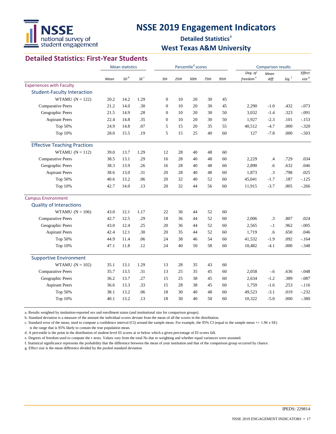

**West Texas A&M University Detailed Statistics**<sup>a</sup>

## **Detailed Statistics: First-Year Students**

|      |              |                         |                                          |     |      | <b>Comparison results</b> |                                        |            |            |       |                   |
|------|--------------|-------------------------|------------------------------------------|-----|------|---------------------------|----------------------------------------|------------|------------|-------|-------------------|
|      |              |                         |                                          |     |      |                           |                                        | Deg. of    | Mean       |       | Effect            |
|      |              |                         |                                          |     |      |                           |                                        |            |            |       | size <sup>g</sup> |
|      |              |                         |                                          |     |      |                           |                                        |            |            |       |                   |
|      |              |                         |                                          |     |      |                           |                                        |            |            |       |                   |
|      |              |                         | $\boldsymbol{0}$                         | 10  | 20   | 30                        |                                        |            |            |       |                   |
| 21.2 | 14.0         | .30                     | $\mathbf{0}$                             | 10  | 20   | 30                        | 45                                     | 2,290      | $-1.0$     | .432  | $-.073$           |
| 21.5 | 14.9         | .28                     | $\mathbf{0}$                             | 10  | 20   | 30                        | 50                                     | 3,032      | $-1.4$     | .323  | $-.091$           |
| 22.4 | 14.8         | .35                     | $\mathbf{0}$                             | 10  | 20   | 30                        | 50                                     | 1,927      | $-2.3$     | .101  | $-153$            |
| 24.9 | 14.8         | .07                     | 5                                        | 15  | 20   | 35                        | 55                                     | 40,512     | $-4.7$     | .000  | $-.320$           |
| 28.0 | 15.5         | .19                     | 5                                        | 15  | 25   | 40                        | 60                                     | 127        | $-7.8$     | .000  | $-503$            |
|      |              |                         |                                          |     |      |                           |                                        |            |            |       |                   |
| 39.0 | 13.7         | 1.29                    | 12                                       | 28  | 40   | 48                        | 60                                     |            |            |       |                   |
| 38.5 | 13.1         | .29                     | 16                                       | 28  | 40   | 48                        | 60                                     | 2,229      | $\cdot$    | .729  | .034              |
| 38.3 | 13.9         | .26                     | 16                                       | 28  | 40   | 48                        | 60                                     | 2,890      | .6         | .632  | .046              |
| 38.6 | 13.0         | .31                     | 20                                       | 28  | 40   | 48                        | 60                                     | 1,873      | $\cdot$ 3  | .798  | .025              |
| 40.6 | 13.2         | .06                     | 20                                       | 32  | 40   | 52                        | 60                                     | 45,041     | $-1.7$     | .187  | $-125$            |
| 42.7 | 14.0         | .13                     | 20                                       | 32  | 44   | 56                        | 60                                     | 11,915     | $-3.7$     | .005  | $-.266$           |
|      |              |                         |                                          |     |      |                           |                                        |            |            |       |                   |
|      |              |                         |                                          |     |      |                           |                                        |            |            |       |                   |
| 43.0 | 12.1         | 1.17                    | 22                                       | 36  | 44   | 52                        | 60                                     |            |            |       |                   |
| 42.7 | 12.5         | .29                     | 18                                       | 36  | 44   | 52                        | 60                                     | 2,006      | .3         | .807  | .024              |
| 43.0 | 12.4         | .25                     | 20                                       | 36  | 44   | 52                        | 60                                     | 2,565      | $-.1$      | .962  | $-.005$           |
| 42.4 | 12.1         | .30                     | 20                                       | 35  | 44   | 52                        | 60                                     | 1,719      | .6         | .650  | .046              |
| 44.9 | 11.4         | .06                     | 24                                       | 38  | 46   | 54                        | 60                                     | 41,532     | $-1.9$     | .092  | $-164$            |
| 47.1 | 11.8         | .12                     | 24                                       | 40  | 50   | 58                        | 60                                     | 10,482     | $-4.1$     | .000  | $-.348$           |
|      |              |                         |                                          |     |      |                           |                                        |            |            |       |                   |
| 35.1 | 13.1         | 1.29                    | 13                                       | 28  | 35   | 43                        | 60                                     |            |            |       |                   |
| 35.7 | 13.5         | .31                     | 13                                       | 25  | 35   | 45                        | 60                                     | 2,058      | $-0.6$     | .636  | $-0.048$          |
| 36.2 | 13.7         | .27                     | 15                                       | 25  | 38   | 45                        | 60                                     | 2,634      | $-1.2$     | .389  | $-.087$           |
| 36.6 | 13.3         | .33                     | 15                                       | 28  | 38   | 45                        | 60                                     | 1,759      | $-1.6$     | .253  | $-.116$           |
| 38.1 | 13.2         | .06                     | 18                                       | 30  | 40   | 48                        | 60                                     | 49,523     | $-3.1$     | .019  | $-232$            |
| 40.1 | 13.2         | .13                     | 18                                       | 30  | 40   | 50                        | 60                                     | 10,322     | $-5.0$     | .000  | $-.380$           |
|      | Mean<br>20.2 | SD <sup>b</sup><br>14.2 | <b>Mean statistics</b><br>$SE^c$<br>1.29 | 5th | 25th | 50th                      | Percentile <sup>d</sup> scores<br>75th | 95th<br>45 | $freedome$ | diff. | Sig. $f$          |

a. Results weighted by institution-reported sex and enrollment status (and institutional size for comparison groups).

b. Standard deviation is a measure of the amount the individual scores deviate from the mean of all the scores in the distribution.

c. Standard error of the mean, used to compute a confidence interval (CI) around the sample mean. For example, the 95% CI (equal to the sample mean  $+/-1.96$  x SE)

is the range that is 95% likely to contain the true population mean.

d. A percentile is the point in the distribution of student-level EI scores at or below which a given percentage of EI scores fall.

e. Degrees of freedom used to compute the *t* -tests. Values vary from the total Ns due to weighting and whether equal variances were assumed.

f. Statistical significance represents the probability that the difference between the mean of your institution and that of the comparison group occurred by chance.

g. Effect size is the mean difference divided by the pooled standard deviation.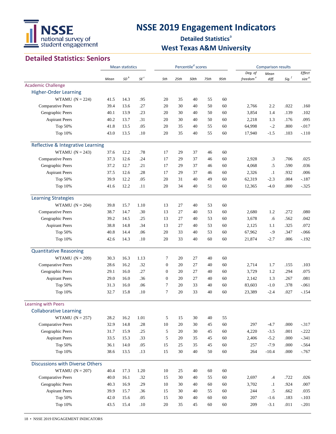

## **West Texas A&M University Detailed Statistics<sup>a</sup>**

## **Detailed Statistics: Seniors**

|                                   | <b>Mean statistics</b> |                 |        |                  |      | Percentile <sup>d</sup> scores |      |      | <b>Comparison results</b> |               |          |                    |
|-----------------------------------|------------------------|-----------------|--------|------------------|------|--------------------------------|------|------|---------------------------|---------------|----------|--------------------|
|                                   | Mean                   | SD <sup>b</sup> | $SE^c$ | 5th              | 25th | 50th                           | 75th | 95th | Deg. of<br>$freedome$     | Mean<br>diff. | Sig. $f$ | Effect<br>size $9$ |
| <b>Academic Challenge</b>         |                        |                 |        |                  |      |                                |      |      |                           |               |          |                    |
| <b>Higher-Order Learning</b>      |                        |                 |        |                  |      |                                |      |      |                           |               |          |                    |
| WTAMU $(N = 224)$                 | 41.5                   | 14.3            | .95    | 20               | 35   | 40                             | 55   | 60   |                           |               |          |                    |
| <b>Comparative Peers</b>          | 39.4                   | 13.6            | .27    | 20               | 30   | 40                             | 50   | 60   | 2,766                     | 2.2           | .022     | .160               |
| Geographic Peers                  | 40.1                   | 13.9            | .23    | 20               | 30   | 40                             | 50   | 60   | 3,854                     | 1.4           | .139     | .102               |
| <b>Aspirant Peers</b>             | 40.2                   | 13.7            | .31    | 20               | 30   | 40                             | 50   | 60   | 2,218                     | 1.3           | .176     | .095               |
| Top 50%                           | 41.8                   | 13.5            | .05    | 20               | 35   | 40                             | 55   | 60   | 64,998                    | $-.2$         | .800     | $-.017$            |
| Top 10%                           | 43.0                   | 13.5            | .10    | 20               | 35   | 40                             | 55   | 60   | 17,940                    | $-1.5$        | .103     | $-.110$            |
| Reflective & Integrative Learning |                        |                 |        |                  |      |                                |      |      |                           |               |          |                    |
| WTAMU $(N = 243)$                 | 37.6                   | 12.2            | .78    | 17               | 29   | 37                             | 46   | 60   |                           |               |          |                    |
| <b>Comparative Peers</b>          | 37.3                   | 12.6            | .24    | 17               | 29   | 37                             | 46   | 60   | 2,928                     | $\cdot$ 3     | .706     | .025               |
| Geographic Peers                  | 37.2                   | 12.7            | .21    | 17               | 29   | 37                             | 46   | 60   | 4,068                     | $.5\,$        | .590     | .036               |
| <b>Aspirant Peers</b>             | 37.5                   | 12.6            | .28    | 17               | 29   | 37                             | 46   | 60   | 2,326                     | $\cdot$ 1     | .932     | .006               |
| Top 50%                           | 39.9                   | 12.2            | .05    | 20               | 31   | 40                             | 49   | 60   | 62,319                    | $-2.3$        | .004     | $-.187$            |
| Top 10%                           | 41.6                   | 12.2            | .11    | 20               | 34   | 40                             | 51   | 60   | 12,365                    | $-4.0$        | .000     | $-.325$            |
| <b>Learning Strategies</b>        |                        |                 |        |                  |      |                                |      |      |                           |               |          |                    |
| WTAMU $(N = 204)$                 | 39.8                   | 15.7            | 1.10   | 13               | 27   | 40                             | 53   | 60   |                           |               |          |                    |
| <b>Comparative Peers</b>          | 38.7                   | 14.7            | .30    | 13               | 27   | 40                             | 53   | 60   | 2,680                     | 1.2           | .272     | .080               |
| Geographic Peers                  | 39.2                   | 14.5            | .25    | 13               | 27   | 40                             | 53   | 60   | 3,678                     | .6            | .562     | .042               |
| <b>Aspirant Peers</b>             | 38.8                   | 14.8            | .34    | 13               | 27   | 40                             | 53   | 60   | 2,125                     | 1.1           | .325     | .072               |
| Top 50%                           | 40.8                   | 14.4            | .06    | 20               | 33   | 40                             | 53   | 60   | 67,962                    | $-.9$         | .347     | $-0.066$           |
| Top 10%                           | 42.6                   | 14.3            | .10    | 20               | 33   | 40                             | 60   | 60   | 21,874                    | $-2.7$        | .006     | $-192$             |
| <b>Quantitative Reasoning</b>     |                        |                 |        |                  |      |                                |      |      |                           |               |          |                    |
| WTAMU $(N = 209)$                 | 30.3                   | 16.3            | 1.13   | 7                | 20   | 27                             | 40   | 60   |                           |               |          |                    |
| <b>Comparative Peers</b>          | 28.6                   | 16.2            | .32    | $\boldsymbol{0}$ | 20   | 27                             | 40   | 60   | 2,714                     | 1.7           | .155     | .103               |
| Geographic Peers                  | 29.1                   | 16.0            | .27    | $\mathbf{0}$     | 20   | 27                             | 40   | 60   | 3,729                     | 1.2           | .294     | .075               |
| <b>Aspirant Peers</b>             | 29.0                   | 16.0            | .36    | $\mathbf{0}$     | 20   | 27                             | 40   | 60   | 2,142                     | 1.3           | .267     | .081               |
| Top 50%                           | 31.3                   | 16.0            | .06    | $\tau$           | 20   | 33                             | 40   | 60   | 83,603                    | $-1.0$        | .378     | $-.061$            |
| Top 10%                           | 32.7                   | 15.8            | .10    | $\tau$           | 20   | 33                             | 40   | 60   | 23,389                    | $-2.4$        | .027     | $-.154$            |
| Learning with Peers               |                        |                 |        |                  |      |                                |      |      |                           |               |          |                    |
| <b>Collaborative Learning</b>     |                        |                 |        |                  |      |                                |      |      |                           |               |          |                    |
| WTAMU $(N = 257)$                 | 28.2                   | 16.2            | 1.01   | 5                | 15   | 30                             | 40   | 55   |                           |               |          |                    |
| <b>Comparative Peers</b>          | 32.9                   | 14.8            | .28    | 10               | 20   | 30                             | 45   | 60   | 297                       | $-4.7$        | .000     | $-.317$            |
| Geographic Peers                  | 31.7                   | 15.9            | .25    | 5                | 20   | 30                             | 45   | 60   | 4,220                     | $-3.5$        | .001     | $-.222$            |
| <b>Aspirant Peers</b>             | 33.5                   | 15.3            | .33    | 5                | 20   | 35                             | 45   | 60   | 2,406                     | $-5.2$        | .000     | $-.341$            |
| Top 50%                           | 36.1                   | 14.0            | .05    | 15               | 25   | 35                             | 45   | 60   | 257                       | $-7.9$        | .000     | $-.564$            |
| Top 10%                           | 38.6                   | 13.5            | .13    | 15               | 30   | 40                             | 50   | 60   | 264                       | $-10.4$       | .000     | $-767$             |
| Discussions with Diverse Others   |                        |                 |        |                  |      |                                |      |      |                           |               |          |                    |
| WTAMU $(N = 207)$                 | 40.4                   | 17.3            | 1.20   | 10               | 25   | 40                             | 60   | 60   |                           |               |          |                    |
| <b>Comparative Peers</b>          | 40.0                   | 16.1            | .32    | 15               | 30   | 40                             | 55   | 60   | 2,697                     | $\cdot$       | .722     | .026               |
| Geographic Peers                  | 40.3                   | 16.9            | .29    | 10               | 30   | 40                             | 60   | 60   | 3,702                     | $\cdot$ 1     | .924     | .007               |
| <b>Aspirant Peers</b>             | 39.9                   | 15.7            | .36    | 15               | 30   | 40                             | 55   | 60   | 244                       | $.5\,$        | .662     | .035               |
| Top 50%                           | 42.0                   | 15.6            | .05    | 15               | 30   | 40                             | 60   | 60   | 207                       | $-1.6$        | .183     | $-.103$            |
| Top 10%                           | 43.5                   | 15.4            | .10    | 20               | 35   | 45                             | 60   | 60   | 209                       | $-3.1$        | .011     | $-.201$            |